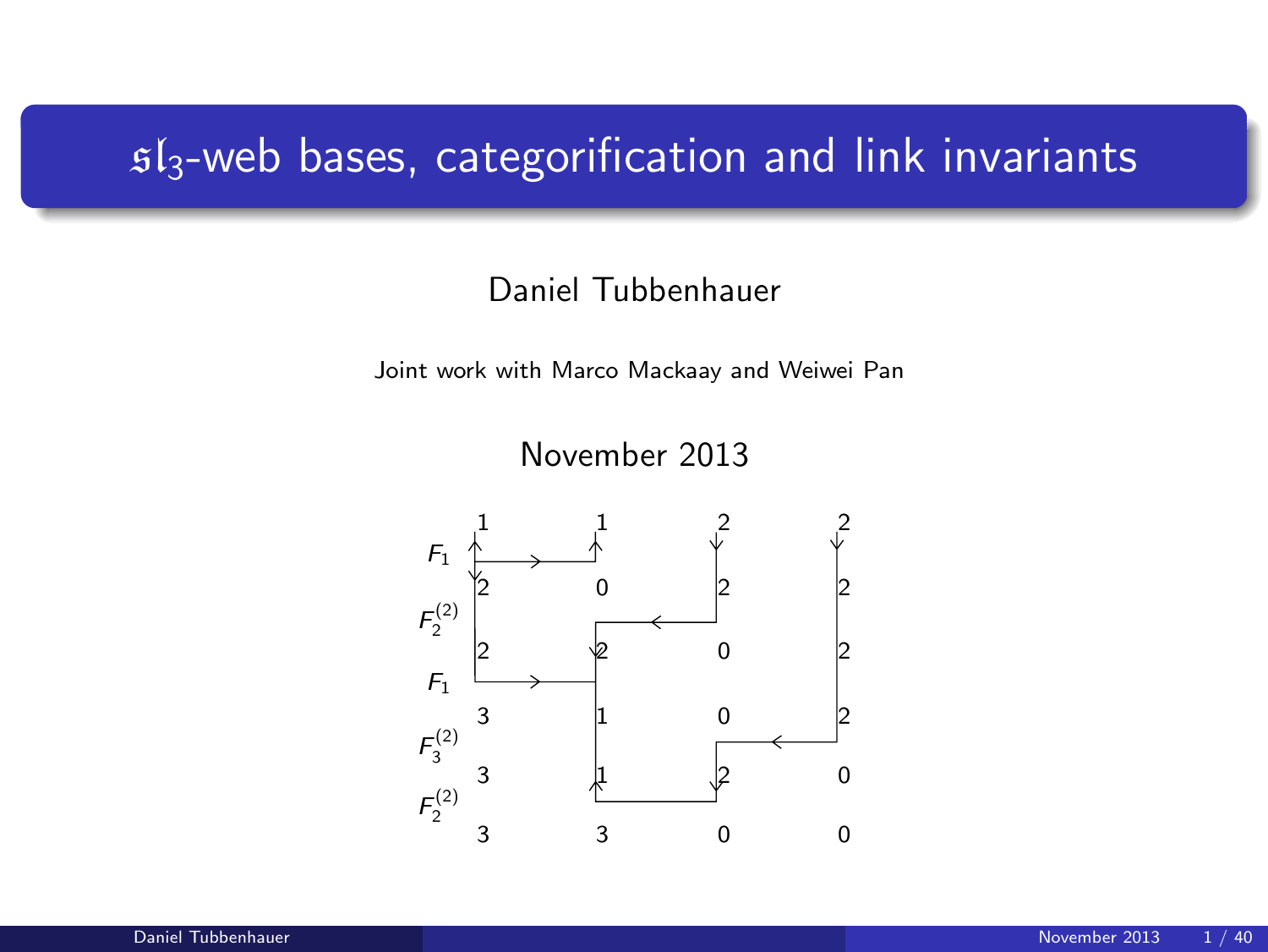# $sI<sub>3</sub>$ -web bases, categorification and link invariants

#### Daniel Tubbenhauer

Joint work with Marco Mackaay and Weiwei Pan



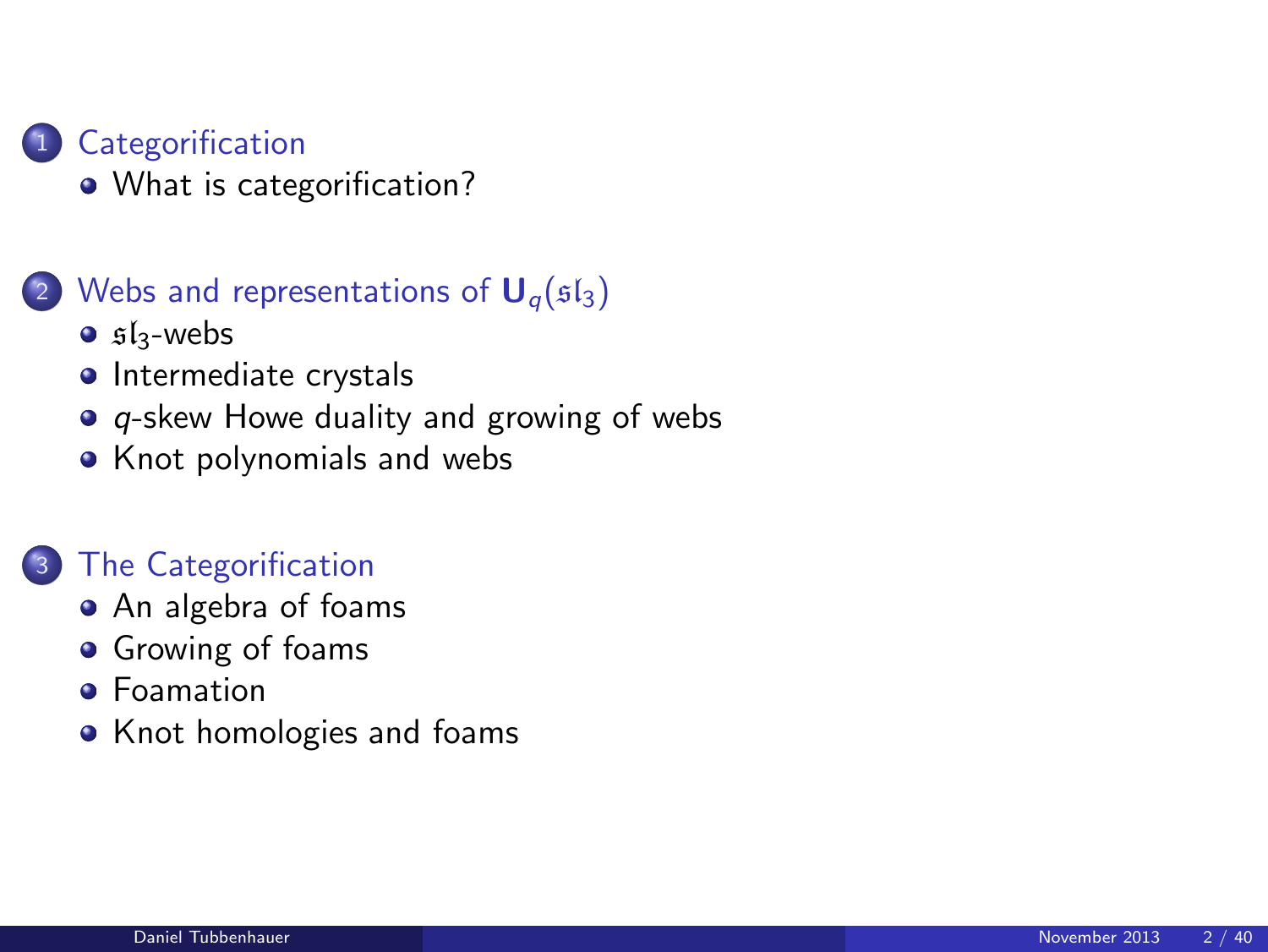### 1 [Categorification](#page-2-0)

• [What is categorification?](#page-2-0)

### [Webs and representations of](#page-4-0)  $U_{q}(s_{3})$

- $\bullet$  sl<sub>3</sub>[-webs](#page-4-0)
- **·** [Intermediate crystals](#page-11-0)
- $\bullet$  q[-skew Howe duality and growing of webs](#page-14-0)
- [Knot polynomials and webs](#page-20-0)

### [The Categorification](#page-24-0)

- [An algebra of foams](#page-24-0)
- **•** [Growing of foams](#page-31-0)
- **•** [Foamation](#page-33-0)
- [Knot homologies and foams](#page-37-0)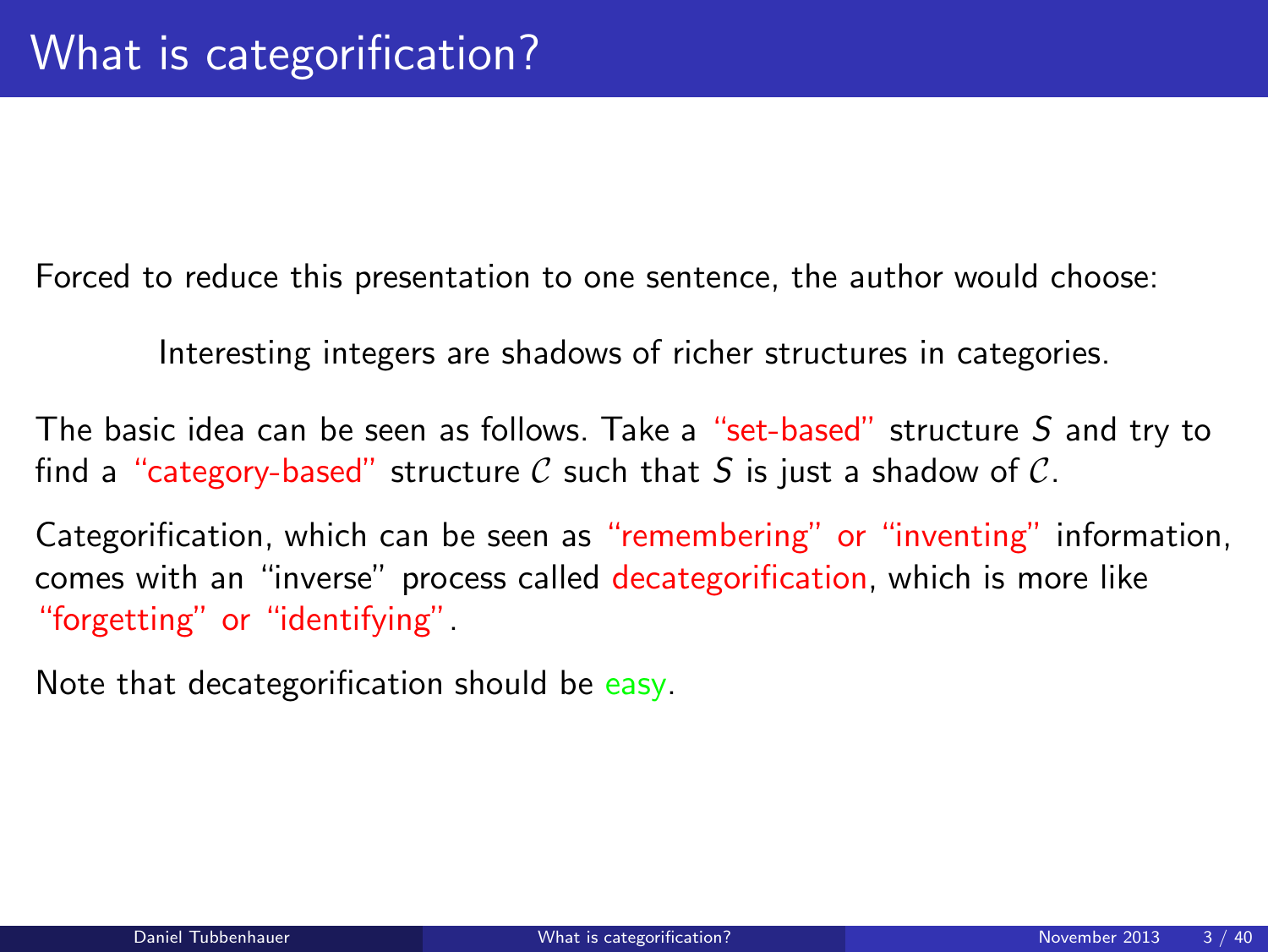Forced to reduce this presentation to one sentence, the author would choose:

Interesting integers are shadows of richer structures in categories.

The basic idea can be seen as follows. Take a "set-based" structure S and try to find a "category-based" structure C such that S is just a shadow of C.

Categorification, which can be seen as "remembering" or "inventing" information, comes with an "inverse" process called decategorification, which is more like "forgetting" or "identifying".

<span id="page-2-0"></span>Note that decategorification should be easy.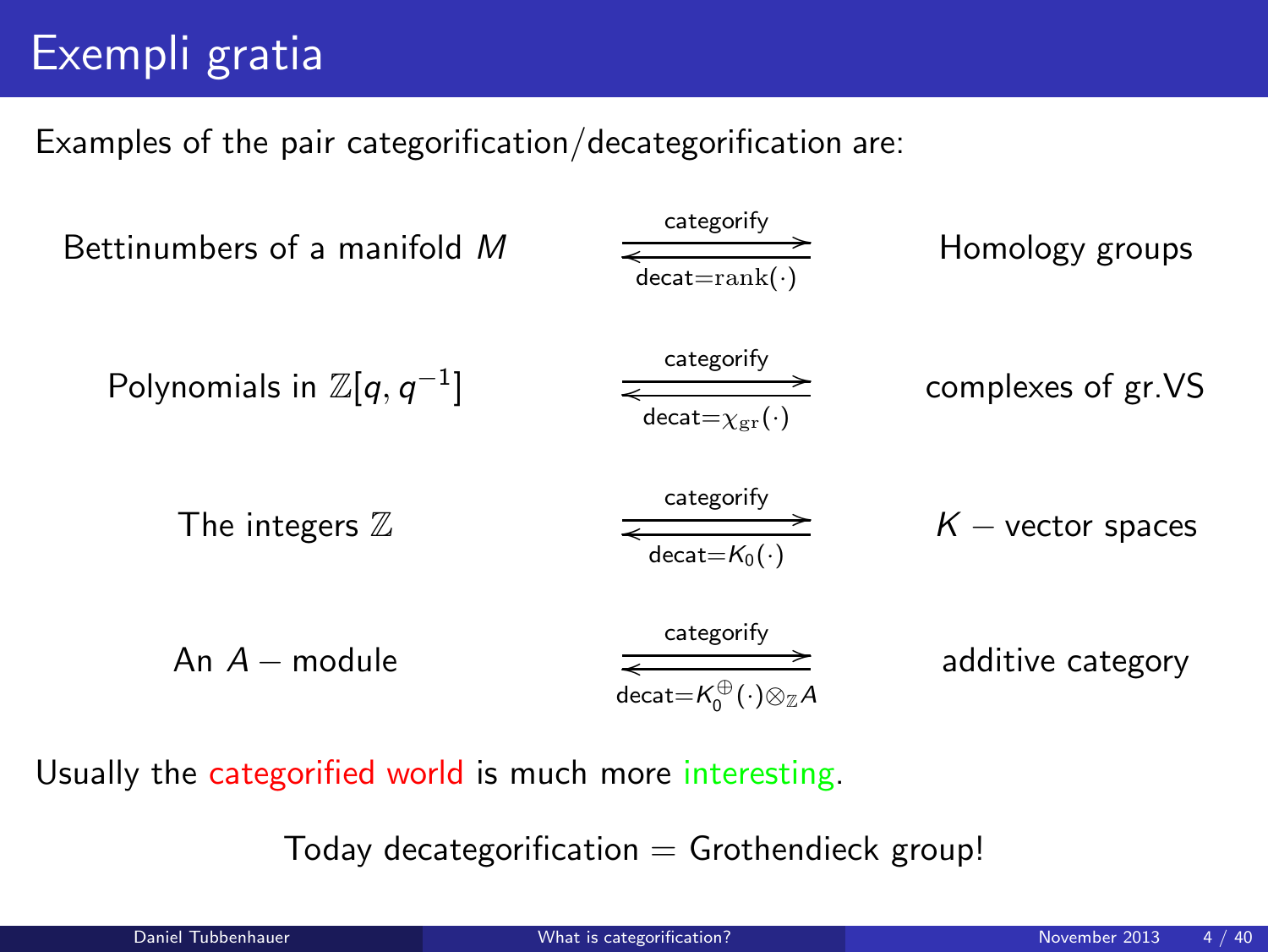# Exempli gratia

Examples of the pair categorification/decategorification are:

| Betweenbers of a manifold              | Caegorify                                       |                     |
|----------------------------------------|-------------------------------------------------|---------------------|
| Polynomials in $\mathbb{Z}[q, q^{-1}]$ | $\frac{Categorical = rank(\cdot)}{d \cdot C}$   | Complexes of gr.VS  |
| The integers $\mathbb{Z}$              | $\frac{Categorical = X_{gr}(\cdot)}{d \cdot C}$ | $K$ - vector spaces |
| An $A$ - module                        | $\frac{Categorical = K_0(\cdot)}{d \cdot C}$    | additive category   |

Usually the categorified world is much more interesting.

Today decategorification  $=$  Grothendieck group!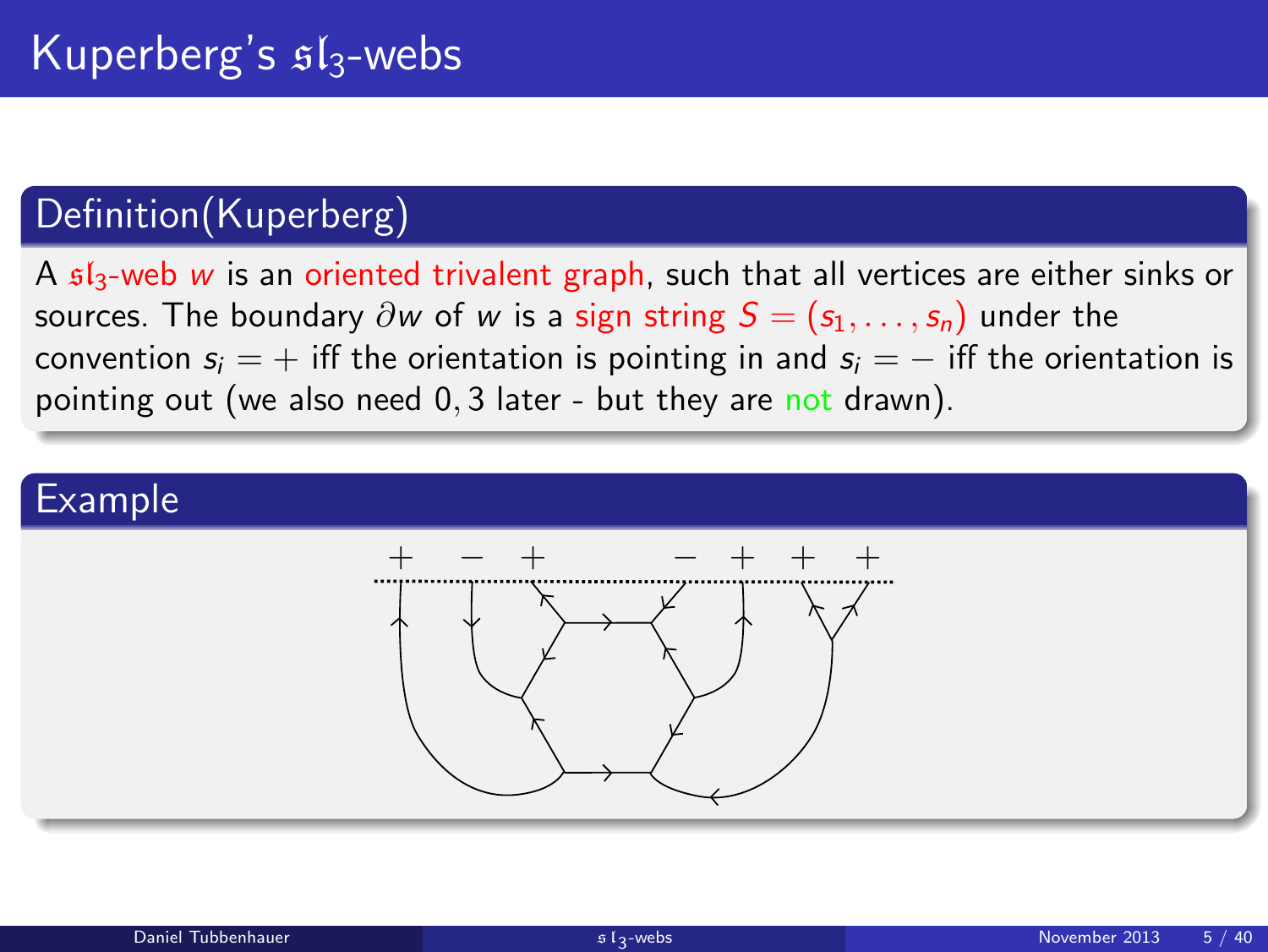# Definition(Kuperberg)

A  $5I_3$ -web w is an oriented trivalent graph, such that all vertices are either sinks or sources. The boundary  $\partial w$  of w is a sign string  $S = (s_1, \ldots, s_n)$  under the convention  $s_i = +$  iff the orientation is pointing in and  $s_i = -$  iff the orientation is pointing out (we also need 0, 3 later - but they are not drawn).

<span id="page-4-0"></span>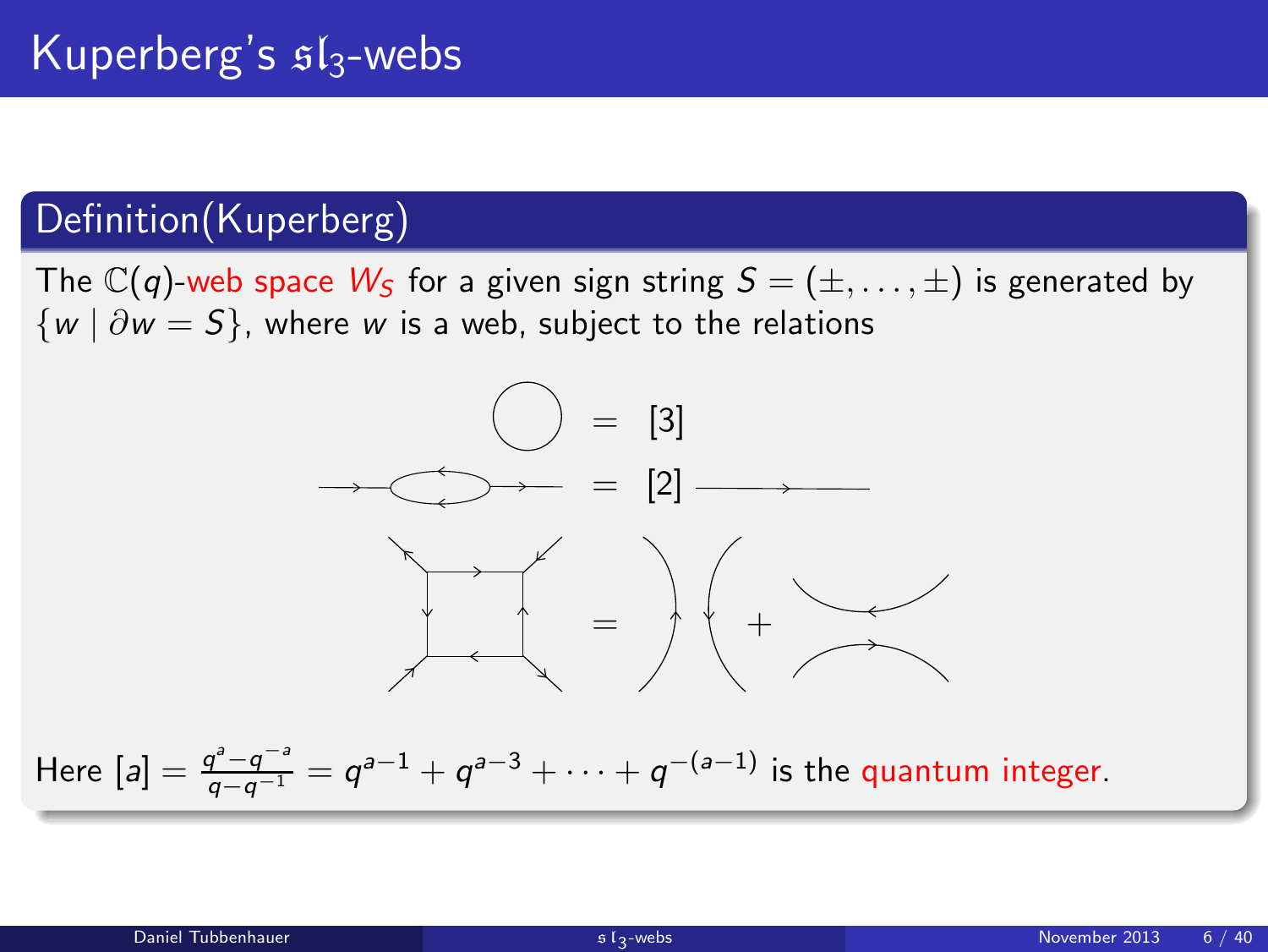## Definition(Kuperberg)

The  $\mathbb{C}(q)$ -web space  $W_S$  for a given sign string  $S = (\pm, \dots, \pm)$  is generated by  $\{w \mid \partial w = S\}$ , where w is a web, subject to the relations

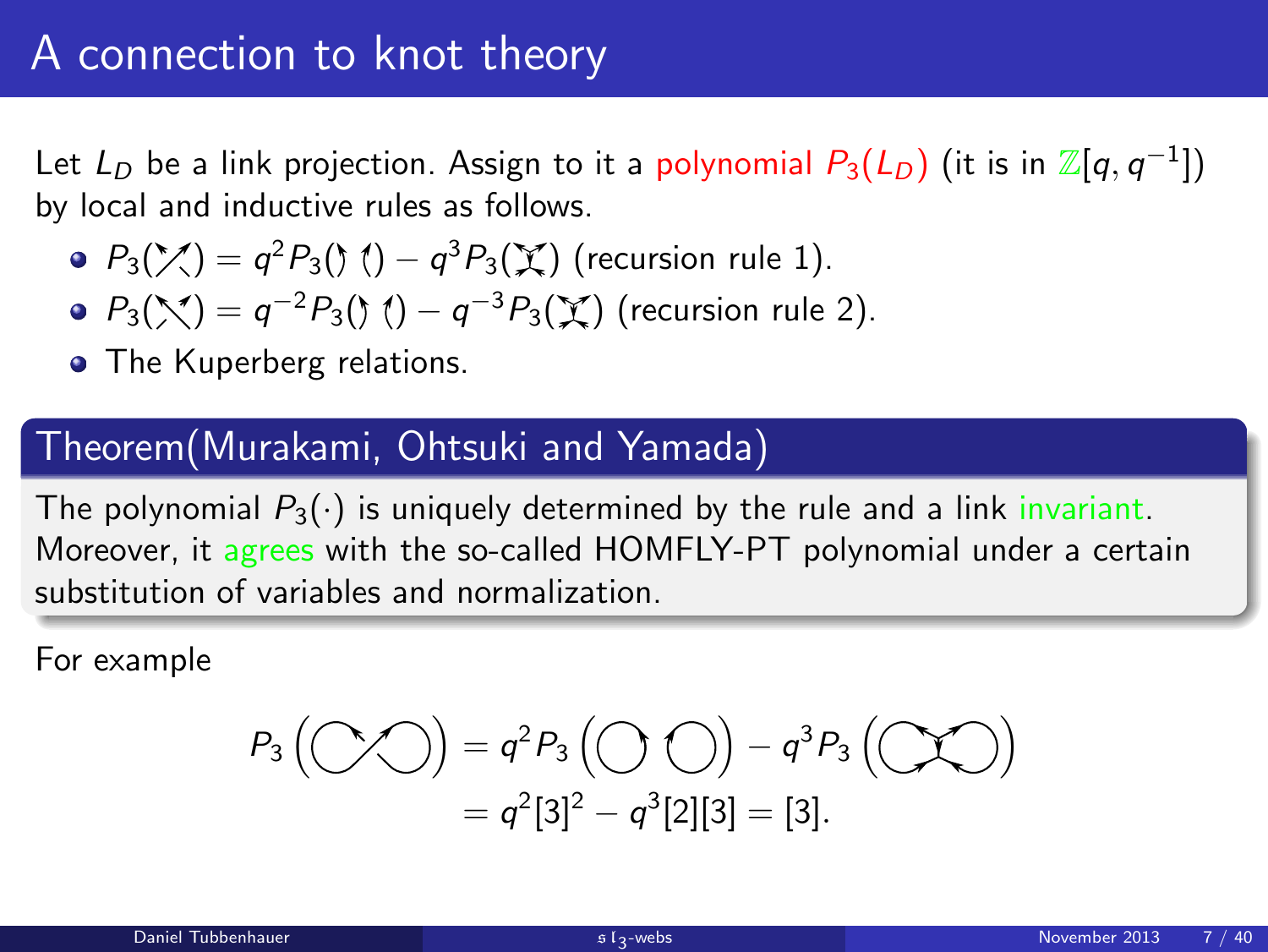Let  $L_D$  be a link projection. Assign to it a polynomial  $P_3(L_D)$  (it is in  $\mathbb{Z}[q,q^{-1}])$ by local and inductive rules as follows.

- $P_3(\mathcal{X}) = q^2 P_3(\mathcal{Y}) q^3 P_3(\mathcal{X})$  (recursion rule 1).
- $P_3(\mathcal{N}) = q^{-2} P_3(\mathcal{N}) q^{-3} P_3(\mathcal{X})$  (recursion rule 2).
- The Kuperberg relations.

### Theorem(Murakami, Ohtsuki and Yamada)

The polynomial  $P_3(\cdot)$  is uniquely determined by the rule and a link invariant. Moreover, it agrees with the so-called HOMFLY-PT polynomial under a certain substitution of variables and normalization.

For example

$$
P_3\left(\bigcirc\bigcirc\bigcirc\right) = q^2 P_3\left(\bigcirc\bigcirc\bigcirc\right) - q^3 P_3\left(\bigcirc\bigcirc\bigcirc\right)
$$

$$
= q^2[3]^2 - q^3[2][3] = [3].
$$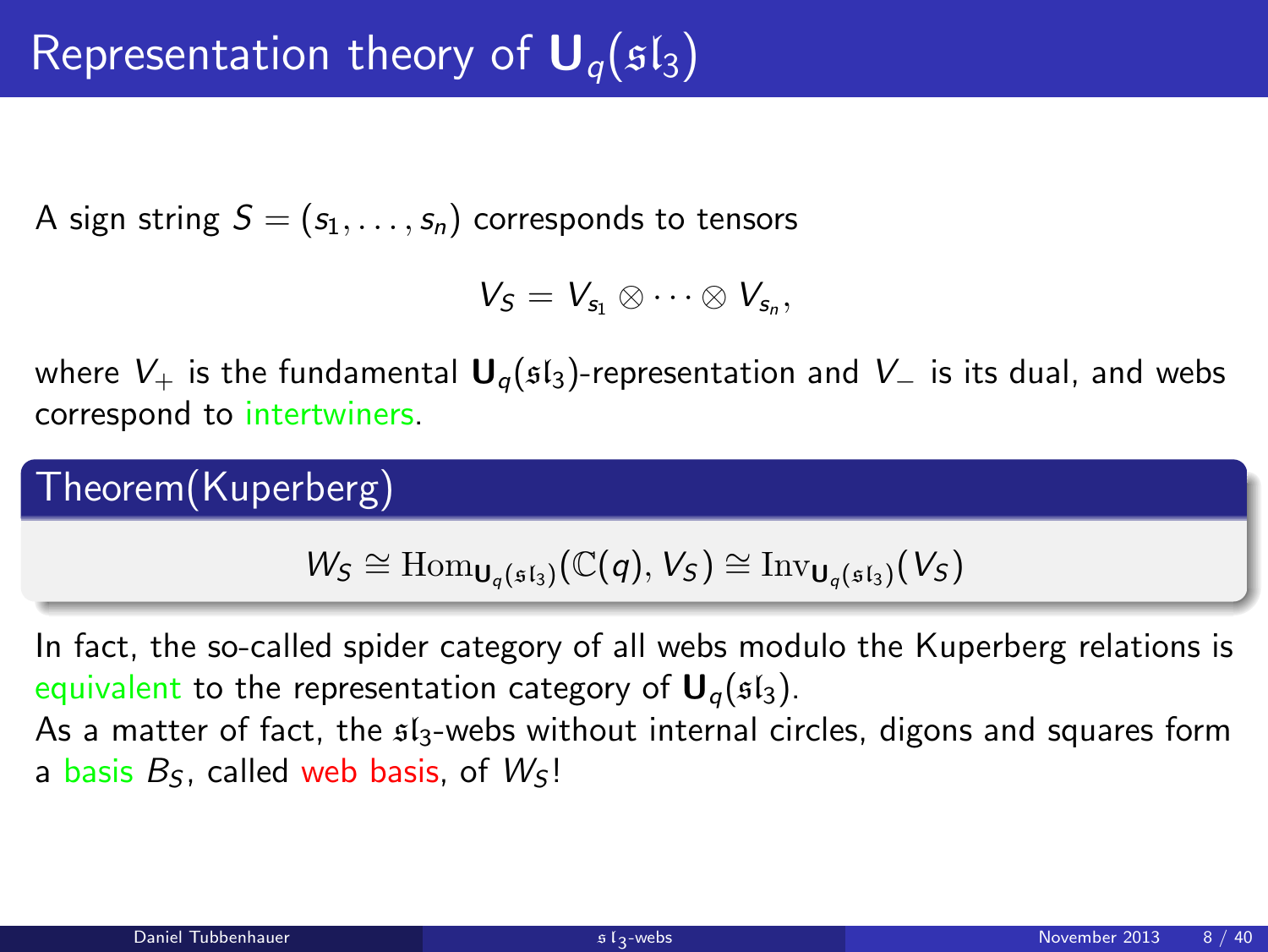A sign string  $S = (s_1, \ldots, s_n)$  corresponds to tensors

$$
V_S=V_{s_1}\otimes\cdots\otimes V_{s_n},
$$

where  $V_+$  is the fundamental  $U_q$ ( $\mathfrak{sl}_3$ )-representation and  $V_-$  is its dual, and webs correspond to intertwiners.

Theorem(Kuperberg)

 $W_S \cong \text{Hom}_{\mathbf{U}_q(\mathfrak{sl}_3)}(\mathbb{C}(q),V_S) \cong \text{Inv}_{\mathbf{U}_q(\mathfrak{sl}_3)}(V_S)$ 

In fact, the so-called spider category of all webs modulo the Kuperberg relations is equivalent to the representation category of  $U_q(sI_3)$ . As a matter of fact, the  $\mathfrak{sl}_3$ -webs without internal circles, digons and squares form

a basis  $B<sub>S</sub>$ , called web basis, of  $W<sub>S</sub>$ !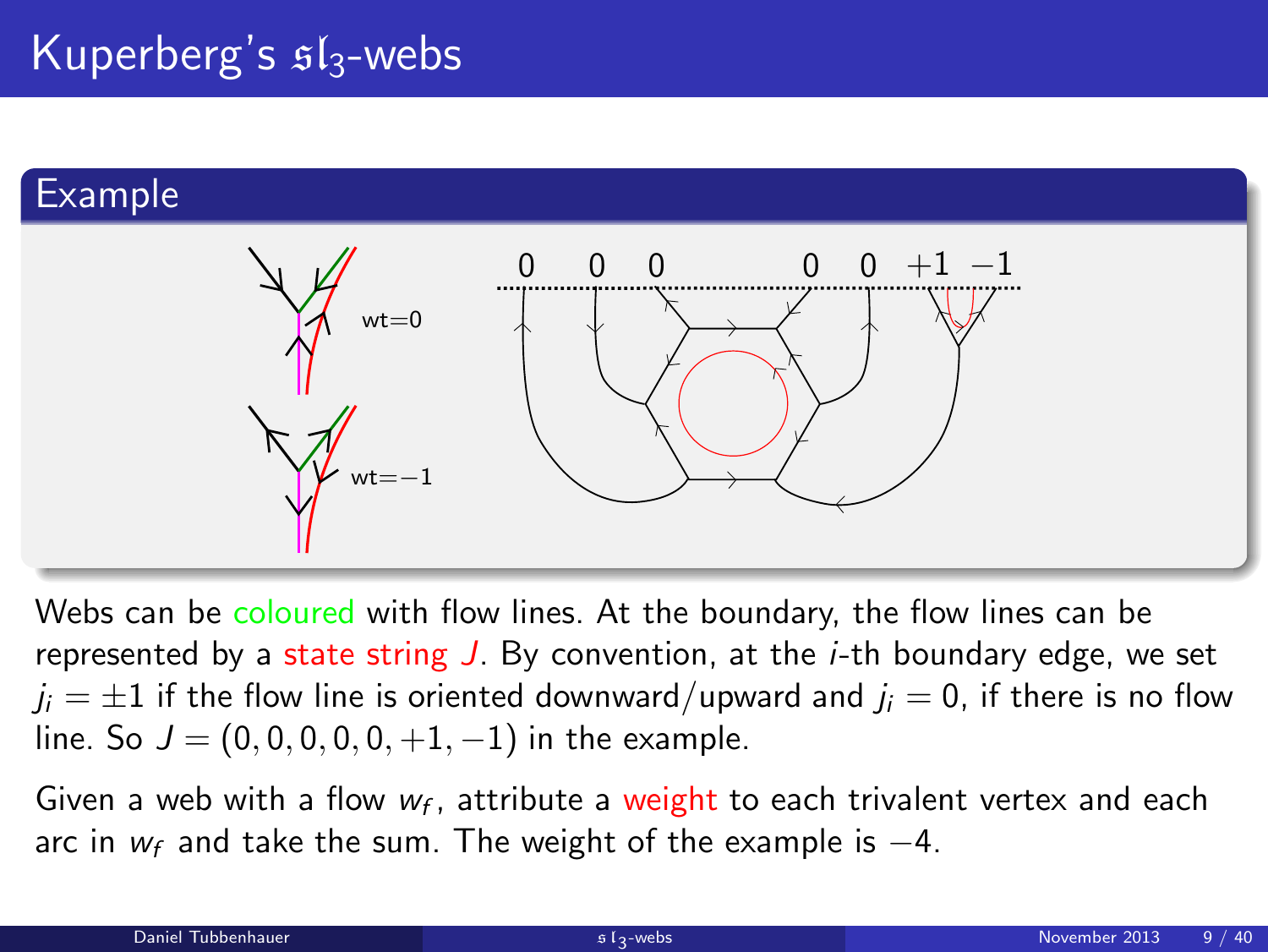# Kuperberg's  $sI_3$ -webs

### Example



Webs can be coloured with flow lines. At the boundary, the flow lines can be represented by a state string  $J$ . By convention, at the *i*-th boundary edge, we set  $j_i = \pm 1$  if the flow line is oriented downward/upward and  $j_i = 0$ , if there is no flow line. So  $J = (0, 0, 0, 0, 0, +1, -1)$  in the example.

Given a web with a flow  $w_f$ , attribute a weight to each trivalent vertex and each arc in  $w_f$  and take the sum. The weight of the example is  $-4$ .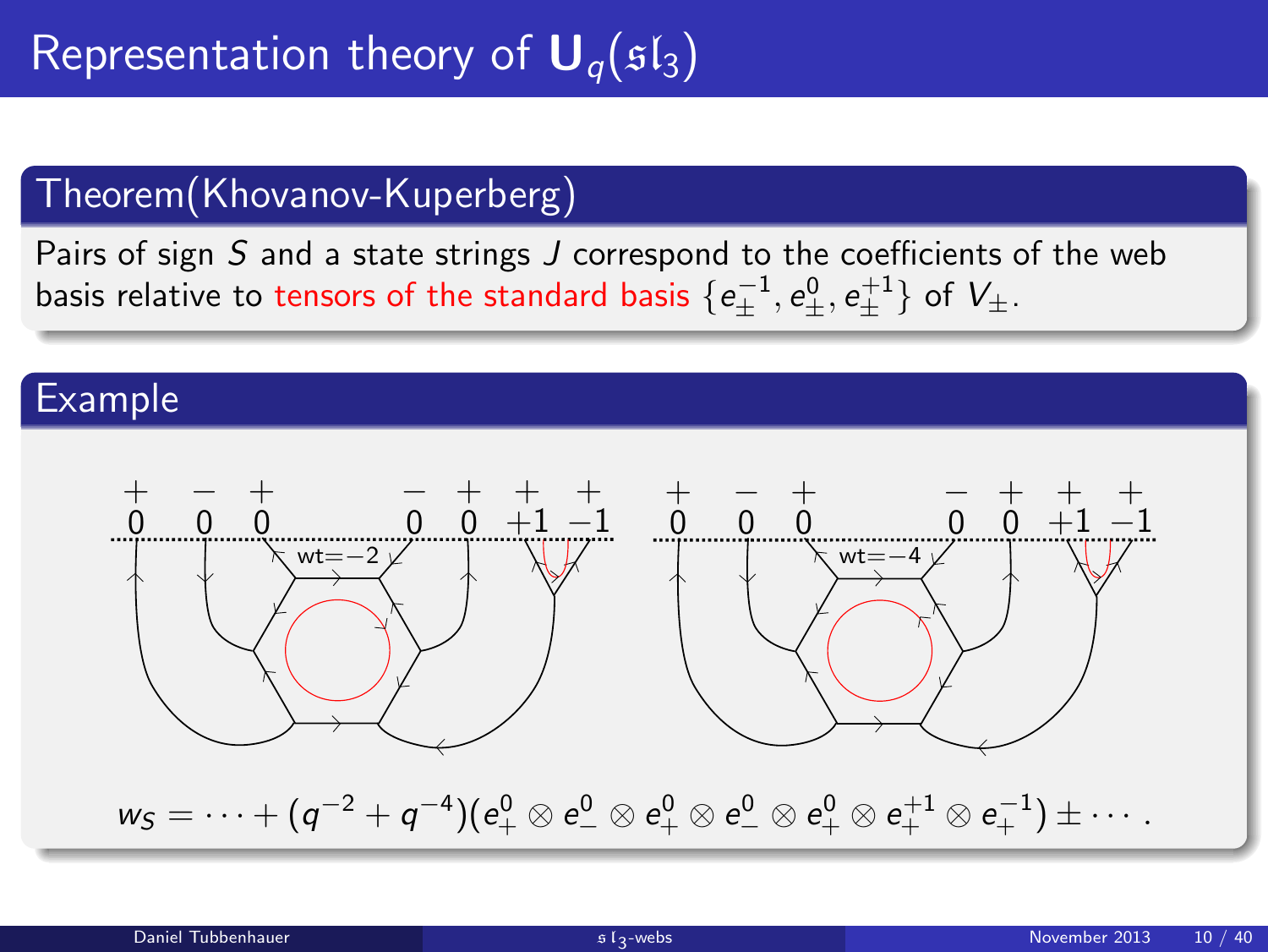# Theorem(Khovanov-Kuperberg)

Pairs of sign S and a state strings J correspond to the coefficients of the web basis relative to tensors of the standard basis  $\{e_\pm^{-1},e_\pm^0,e_\pm^{+1}\}$  of  $V_\pm$ .

#### Example

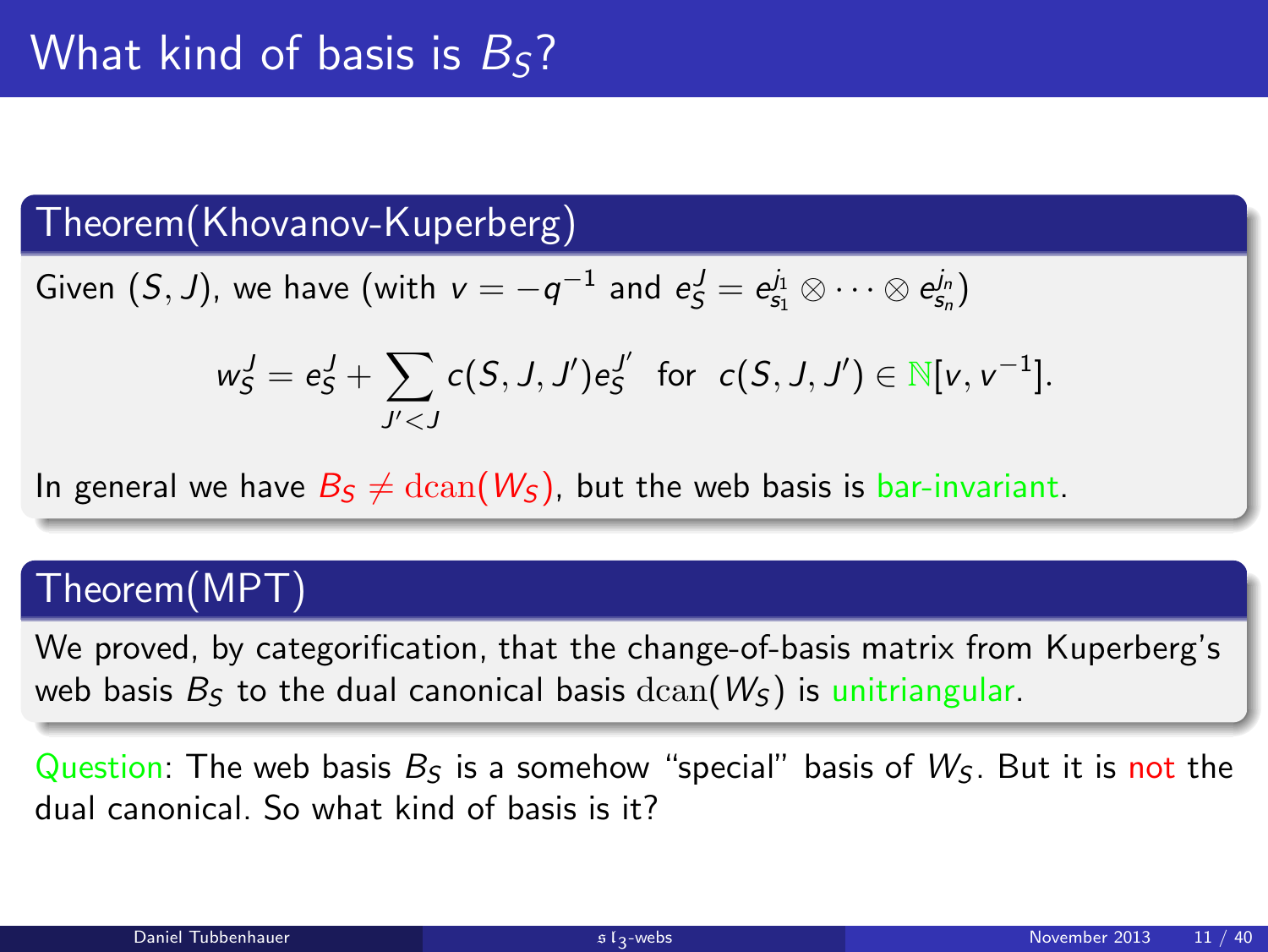## Theorem(Khovanov-Kuperberg)

Given 
$$
(S, J)
$$
, we have (with  $v = -q^{-1}$  and  $e_S^J = e_{s_1}^{j_1} \otimes \cdots \otimes e_{s_n}^{j_n}$ )

$$
w_{\mathsf{S}}^{\mathcal{Y}} = e_{\mathsf{S}}^{\mathcal{Y}} + \sum_{J^{\prime} < J} c(S, J, J^{\prime}) e_{\mathsf{S}}^{J^{\prime}} \text{ for } c(S, J, J^{\prime}) \in \mathbb{N}[v, v^{-1}].
$$

In general we have  $B_5 \neq \text{dcan}(W_5)$ , but the web basis is bar-invariant.

### Theorem(MPT)

We proved, by categorification, that the change-of-basis matrix from Kuperberg's web basis  $B<sub>S</sub>$  to the dual canonical basis  $dcan(W<sub>S</sub>)$  is unitriangular.

Question: The web basis  $B_5$  is a somehow "special" basis of  $W_5$ . But it is not the dual canonical. So what kind of basis is it?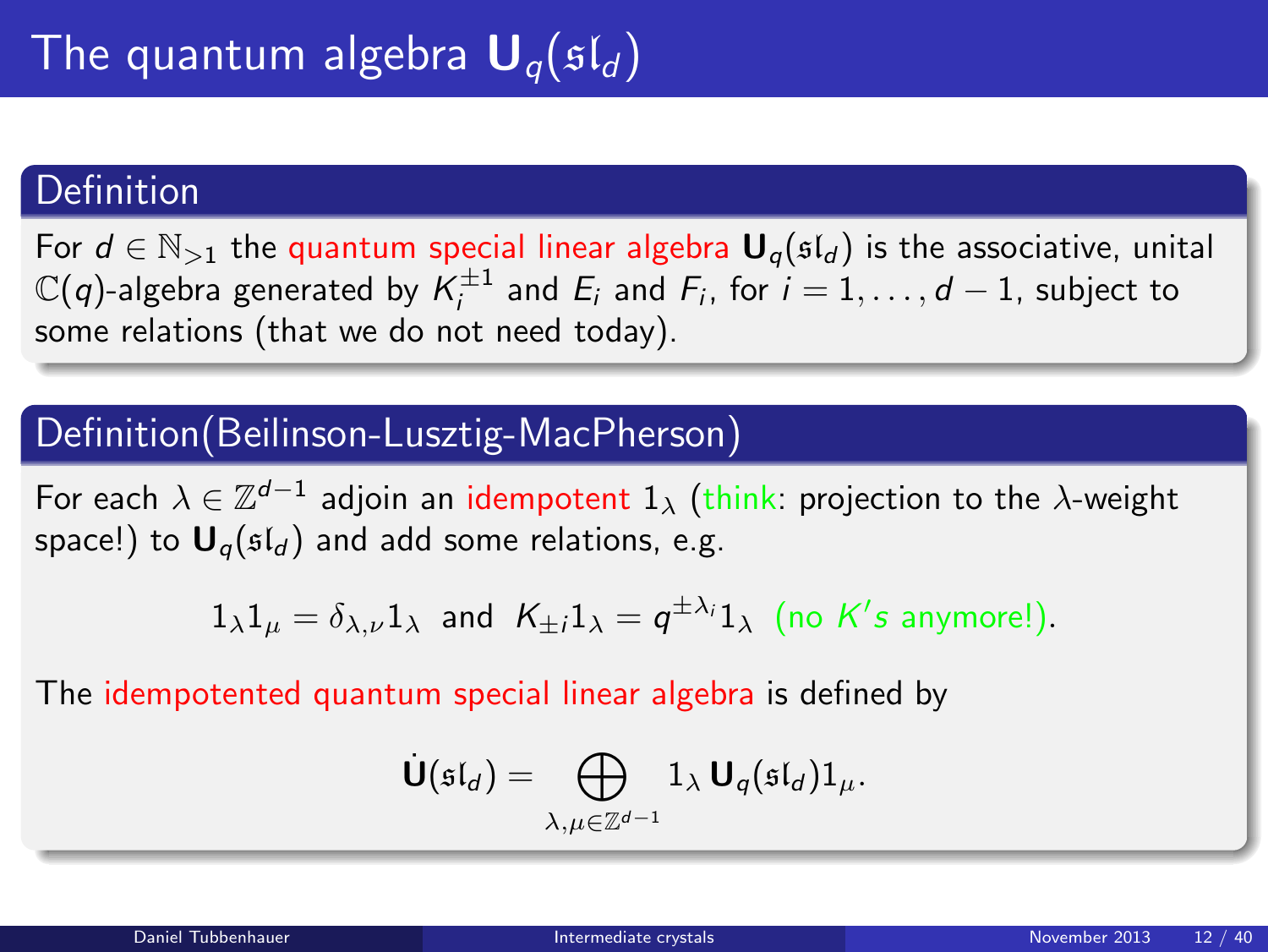### Definition

For  $d \in \mathbb{N}_{>1}$  the quantum special linear algebra  $\mathbf{U}_q(\mathfrak{sl}_d)$  is the associative, unital  $\mathbb{C}(q)$ -algebra generated by  $\mathcal{K}_i^{\pm 1}$  and  $E_i$  and  $F_i$ , for  $i=1,\ldots,d-1$ , subject to some relations (that we do not need today).

### Definition(Beilinson-Lusztig-MacPherson)

For each  $\lambda\in\mathbb{Z}^{d-1}$  adjoin an idempotent  $1_\lambda$  (think: projection to the  $\lambda$ -weight space!) to  $U_q(\mathfrak{sl}_d)$  and add some relations, e.g.

$$
1_{\lambda}1_{\mu} = \delta_{\lambda,\nu}1_{\lambda}
$$
 and  $K_{\pm i}1_{\lambda} = q^{\pm \lambda_i}1_{\lambda}$  (no *K*'s anymore!).

The idempotented quantum special linear algebra is defined by

<span id="page-11-0"></span>
$$
\dot{\mathbf{U}}(\mathfrak{sl}_d) = \bigoplus_{\lambda,\mu \in \mathbb{Z}^{d-1}} 1_{\lambda} \mathbf{U}_q(\mathfrak{sl}_d) 1_{\mu}.
$$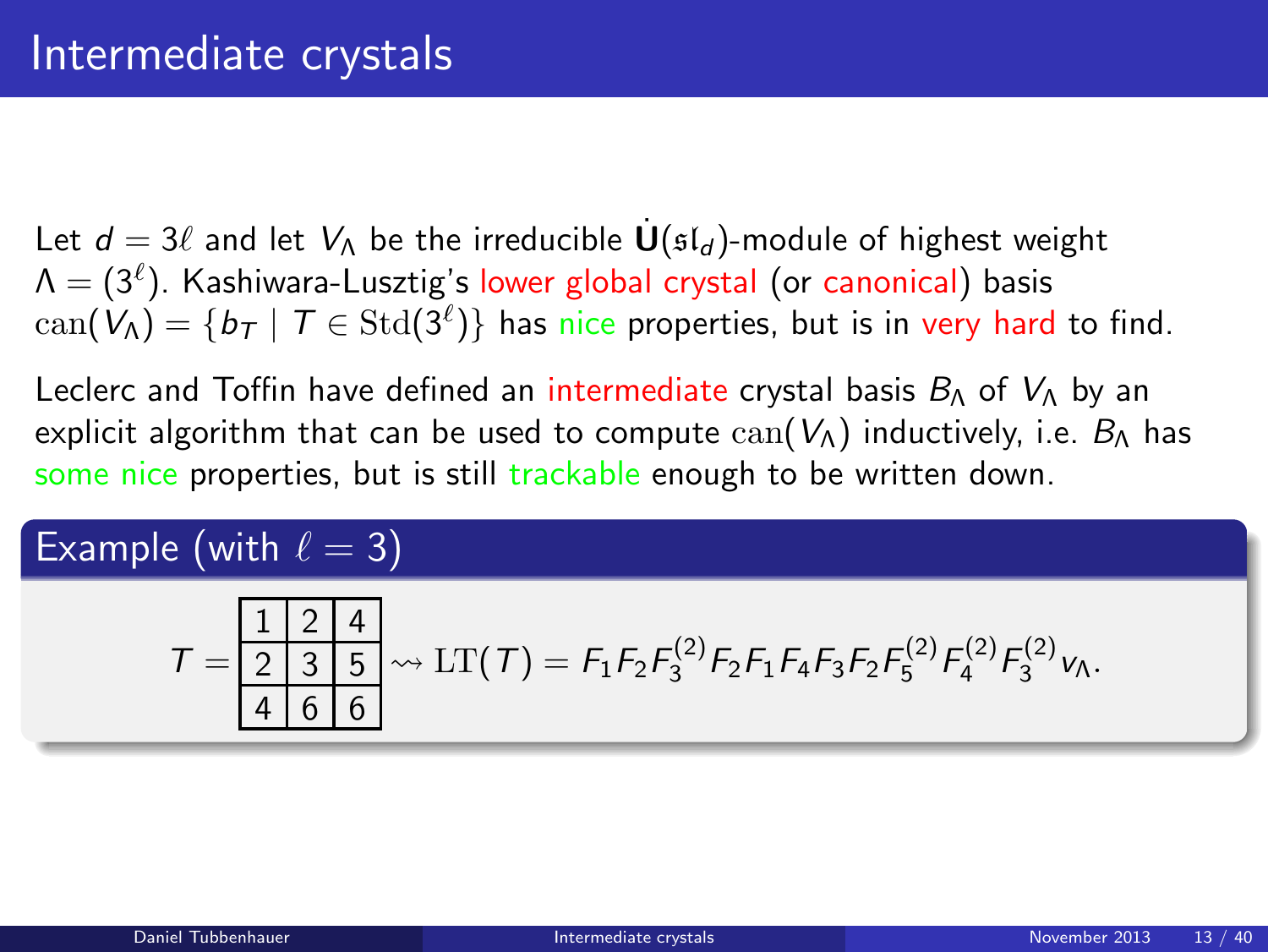Let  $d = 3\ell$  and let  $V_{\Lambda}$  be the irreducible  $U(\mathfrak{sl}_d)$ -module of highest weight  $\mathsf{\Lambda}=(3^{\ell}).$  Kashiwara-Lusztig's lower global crystal (or canonical) basis  $\mathrm{can}(V_\Delta)=\{b_T\mid T\in \mathrm{Std}(3^\ell)\}$  has nice properties, but is in very hard to find.

Leclerc and Toffin have defined an intermediate crystal basis  $B_{\Lambda}$  of  $V_{\Lambda}$  by an explicit algorithm that can be used to compute  $can(V<sub>A</sub>)$  inductively, i.e.  $B<sub>A</sub>$  has some nice properties, but is still trackable enough to be written down.

# Example (with  $\ell = 3$ )

$$
T = \frac{1 \mid 2 \mid 4}{2 \mid 3 \mid 5} \rightsquigarrow \mathrm{LT}(T) = F_1 F_2 F_3^{(2)} F_2 F_1 F_4 F_3 F_2 F_5^{(2)} F_4^{(2)} F_3^{(2)} v_A.
$$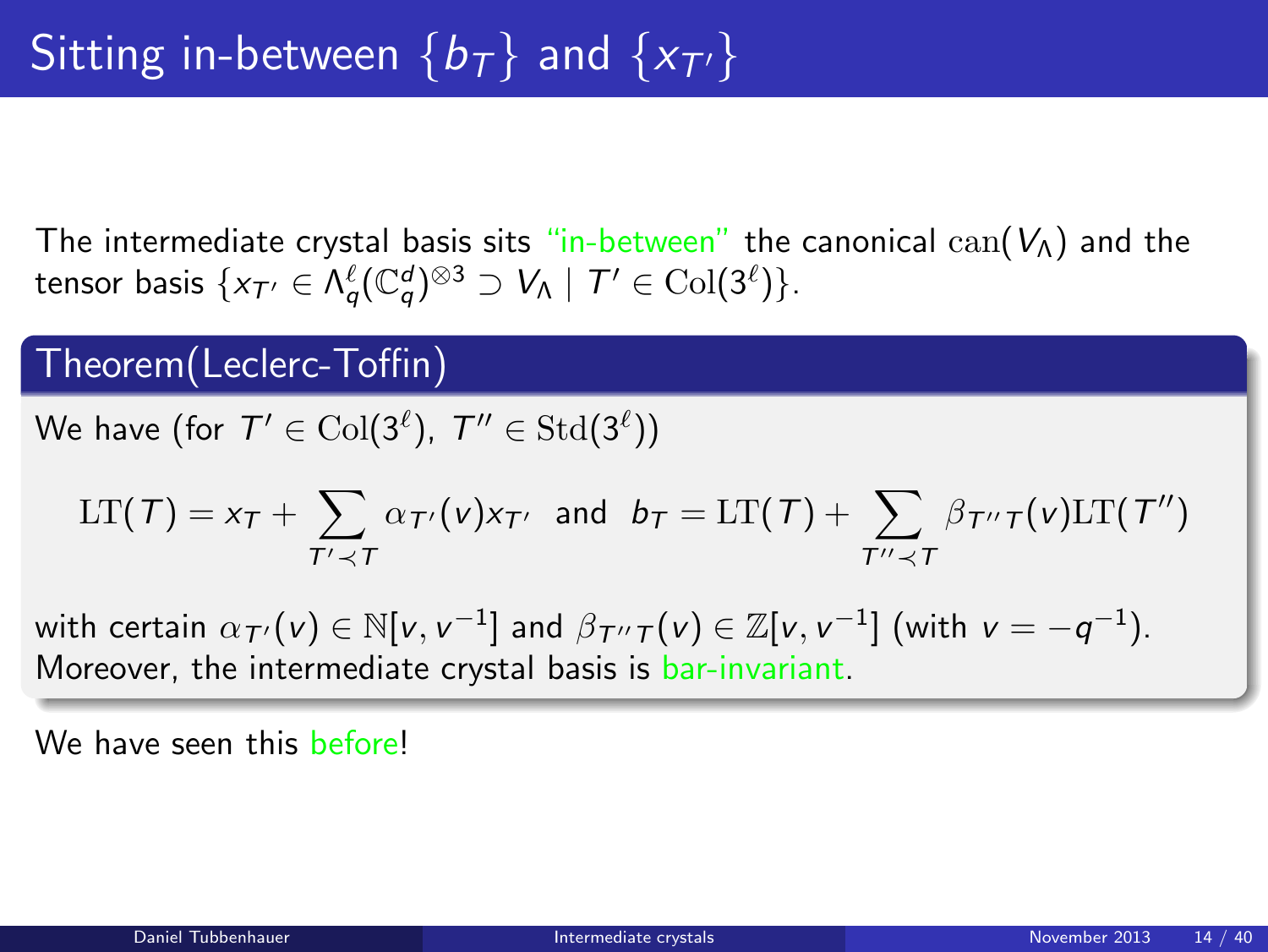The intermediate crystal basis sits "in-between" the canonical  $can(V_{\Lambda})$  and the tensor basis  $\{x_{\mathcal{T}'}\in \Lambda^{\ell}_{\mathsf{q}}(\mathbb{C}^d_{\mathsf{q}})^{\otimes 3}\supset V_{\Lambda}\mid \mathcal{T}'\in \mathrm{Col}(3^{\ell})\}.$ 

#### Theorem(Leclerc-Toffin)

We have (for  $\mathcal{T}'\in \text{Col}(3^{\ell}), \ \mathcal{T}''\in \text{Std}(3^{\ell}))$ 

$$
LT(\mathcal{T}) = x_{\mathcal{T}} + \sum_{\mathcal{T}' \prec \mathcal{T}} \alpha_{\mathcal{T}'}(v) x_{\mathcal{T}'} \text{ and } b_{\mathcal{T}} = LT(\mathcal{T}) + \sum_{\mathcal{T}'' \prec \mathcal{T}} \beta_{\mathcal{T}''} \tau(v) LT(\mathcal{T}'')
$$

with certain  $\alpha_{\mathcal{T}'}(\mathsf{v})\in\mathbb{N}[\mathsf{v},\mathsf{v}^{-1}]$  and  $\beta_{\mathcal{T}''\mathcal{T}}(\mathsf{v})\in\mathbb{Z}[\mathsf{v},\mathsf{v}^{-1}]$  (with  $\mathsf{v}=-q^{-1}).$ Moreover, the intermediate crystal basis is bar-invariant.

We have seen this before!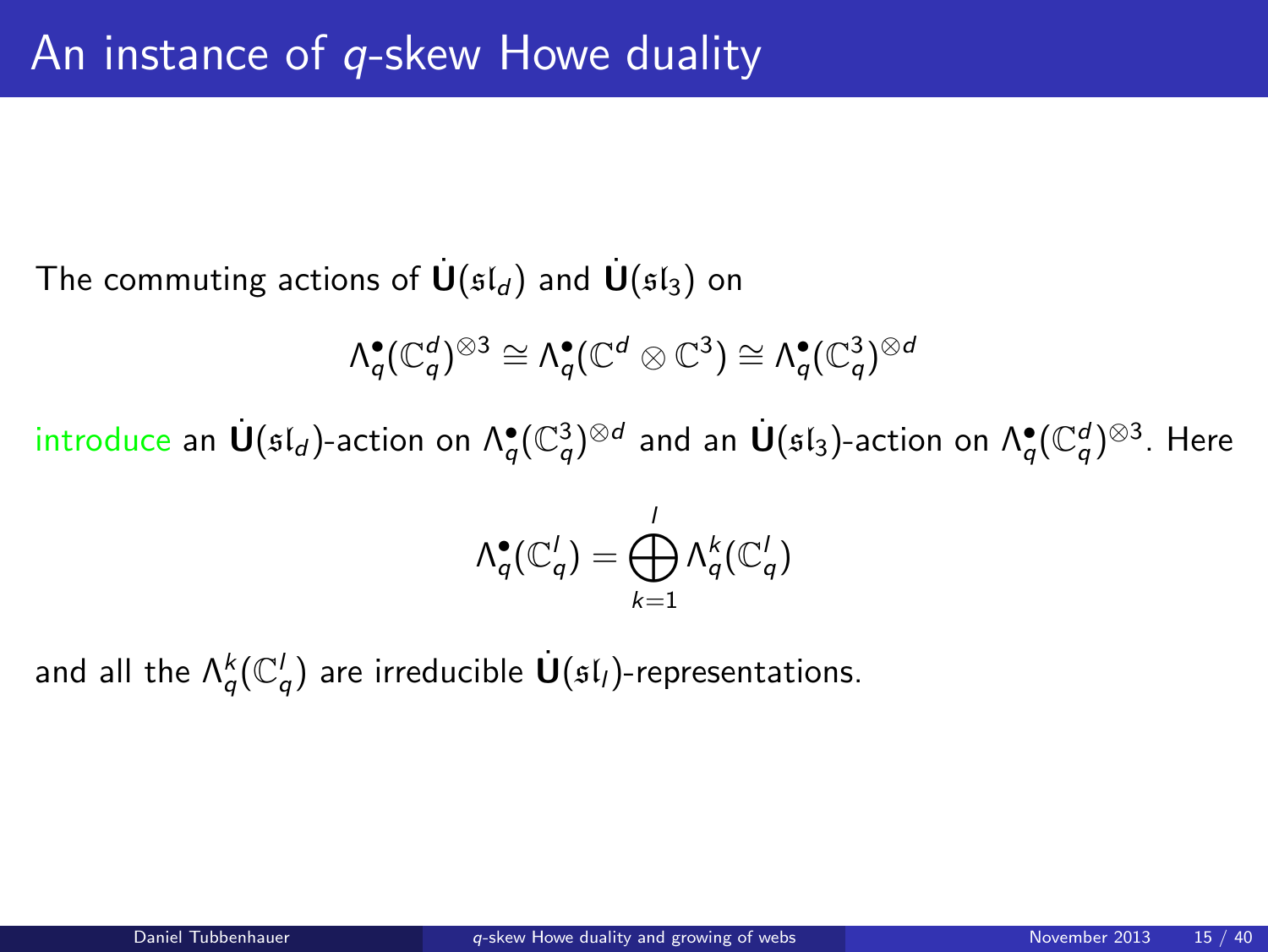The commuting actions of  $\dot{\mathbf{U}}(\mathfrak{sl}_d)$  and  $\dot{\mathbf{U}}(\mathfrak{sl}_3)$  on

$$
\Lambda_q^{\bullet}(\mathbb{C}_q^d)^{\otimes 3} \cong \Lambda_q^{\bullet}(\mathbb{C}^d \otimes \mathbb{C}^3) \cong \Lambda_q^{\bullet}(\mathbb{C}_q^3)^{\otimes d}
$$

introduce an  $\dot{{\bf U}}(\mathfrak{sl}_d)$ -action on  $\Lambda^{\bullet}_q(\mathbb{C}_q^3)^{\otimes d}$  and an  $\dot{{\bf U}}(\mathfrak{sl}_3)$ -action on  $\Lambda^{\bullet}_q(\mathbb{C}_q^d)^{\otimes 3}.$  Here

<span id="page-14-0"></span>
$$
\Lambda_q^{\bullet}(\mathbb{C}_q^l)=\bigoplus_{k=1}^l\Lambda_q^k(\mathbb{C}_q^l)
$$

and all the  $\Lambda^k_q({\mathbb C}_q^l)$  are irreducible  $\dot{{\bf U}}(\mathfrak{sl}_l)$ -representations.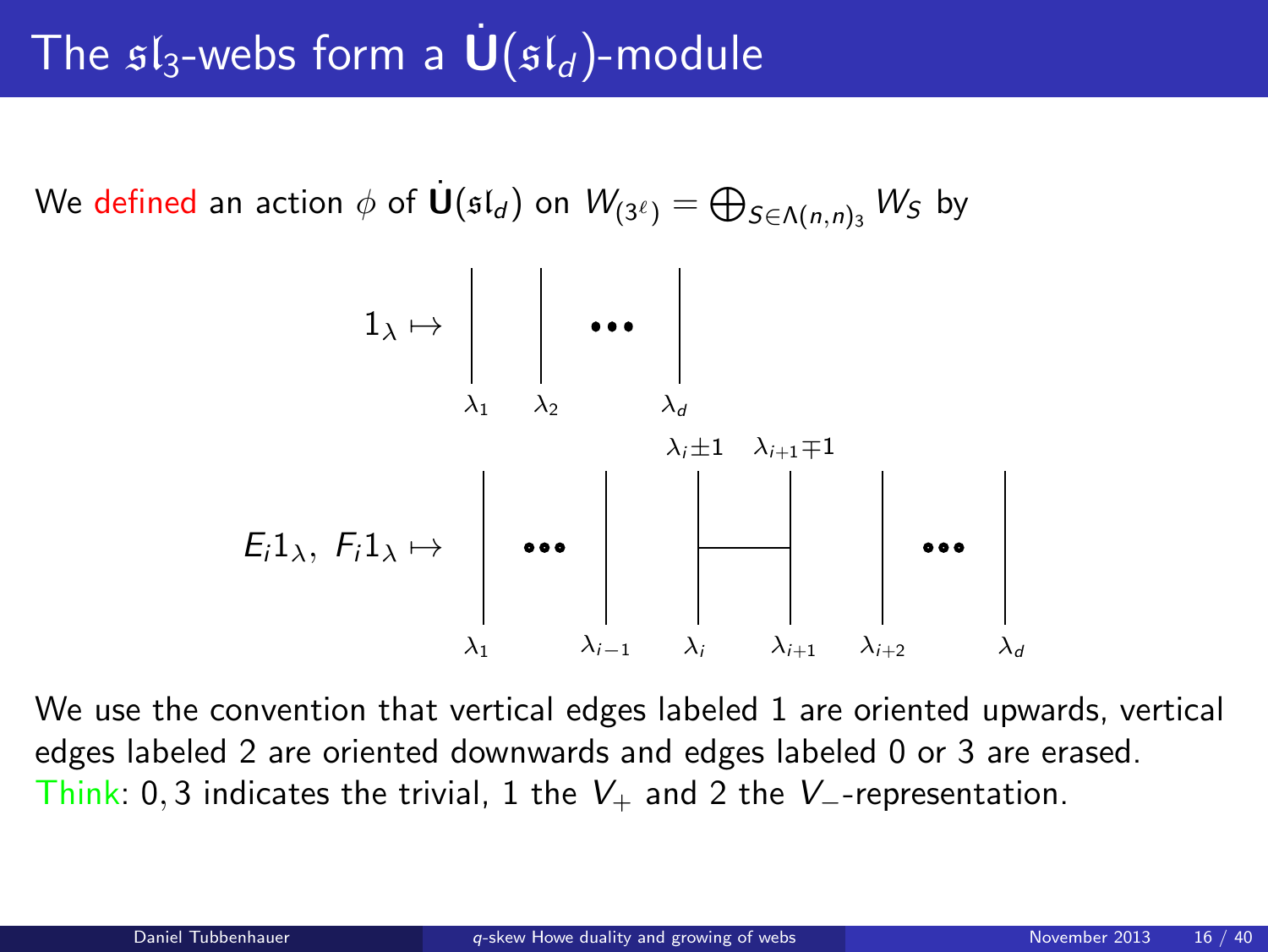# The  $sI_3$ -webs form a  $\mathbf{U}(sI_d)$ -module

We defined an action  $\phi$  of  $\dot{\textbf U}(\mathfrak{sl}_d)$  on  $\mathcal W_{(3^\ell)}=\bigoplus_{S\in\Lambda(n,n)_3} \mathcal W_S$  by



We use the convention that vertical edges labeled 1 are oriented upwards, vertical edges labeled 2 are oriented downwards and edges labeled 0 or 3 are erased. Think: 0, 3 indicates the trivial, 1 the  $V_+$  and 2 the  $V_-$ -representation.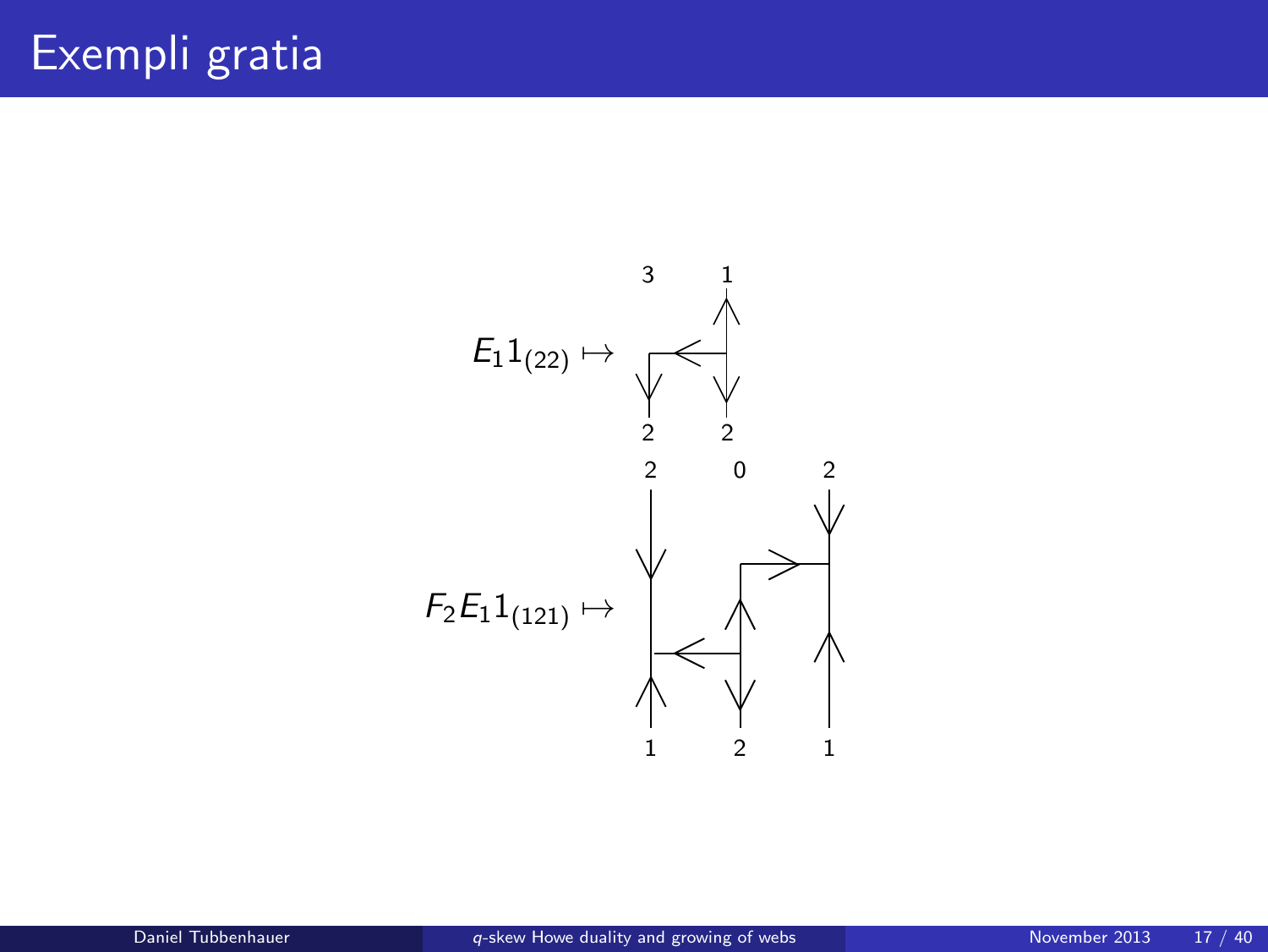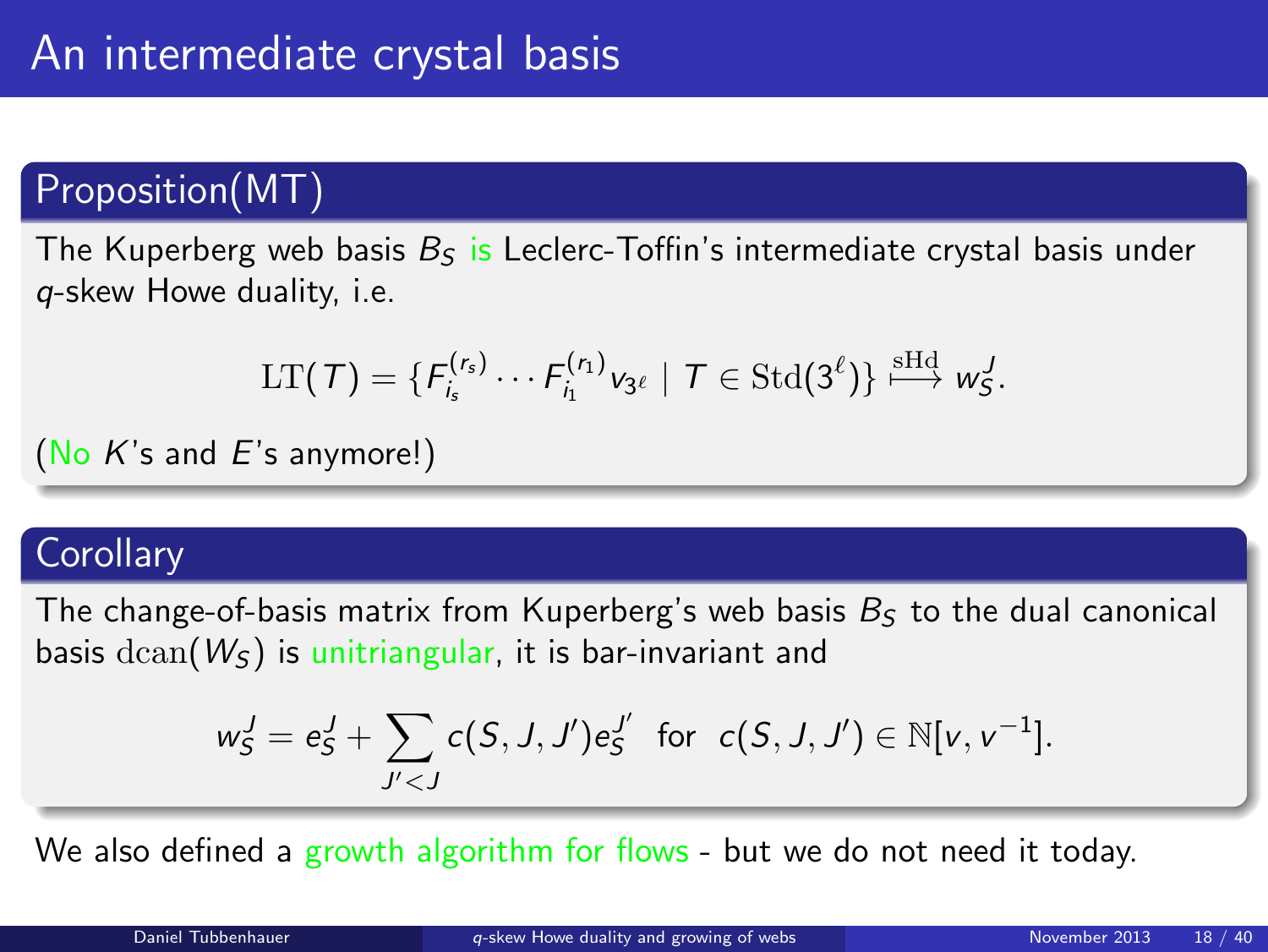## Proposition(MT)

The Kuperberg web basis  $B<sub>S</sub>$  is Leclerc-Toffin's intermediate crystal basis under q-skew Howe duality, i.e.

$$
\mathrm{LT}(\mathcal{T})=\{F_{i_s}^{(r_s)}\cdots F_{i_1}^{(r_1)}v_{3^{\ell}}\mid \mathcal{T}\in \mathrm{Std}(3^{\ell})\}\stackrel{\mathrm{sHd}}{\longmapsto}w_5^J.
$$

(No  $K$ 's and  $E$ 's anymore!)

### **Corollary**

The change-of-basis matrix from Kuperberg's web basis  $B<sub>S</sub>$  to the dual canonical basis  $dcan(W<sub>S</sub>)$  is unitriangular, it is bar-invariant and

$$
w_S^J = e_S^J + \sum_{J' < J} c(S, J, J') e_S^{J'} \text{ for } c(S, J, J') \in \mathbb{N}[v, v^{-1}].
$$

We also defined a growth algorithm for flows - but we do not need it today.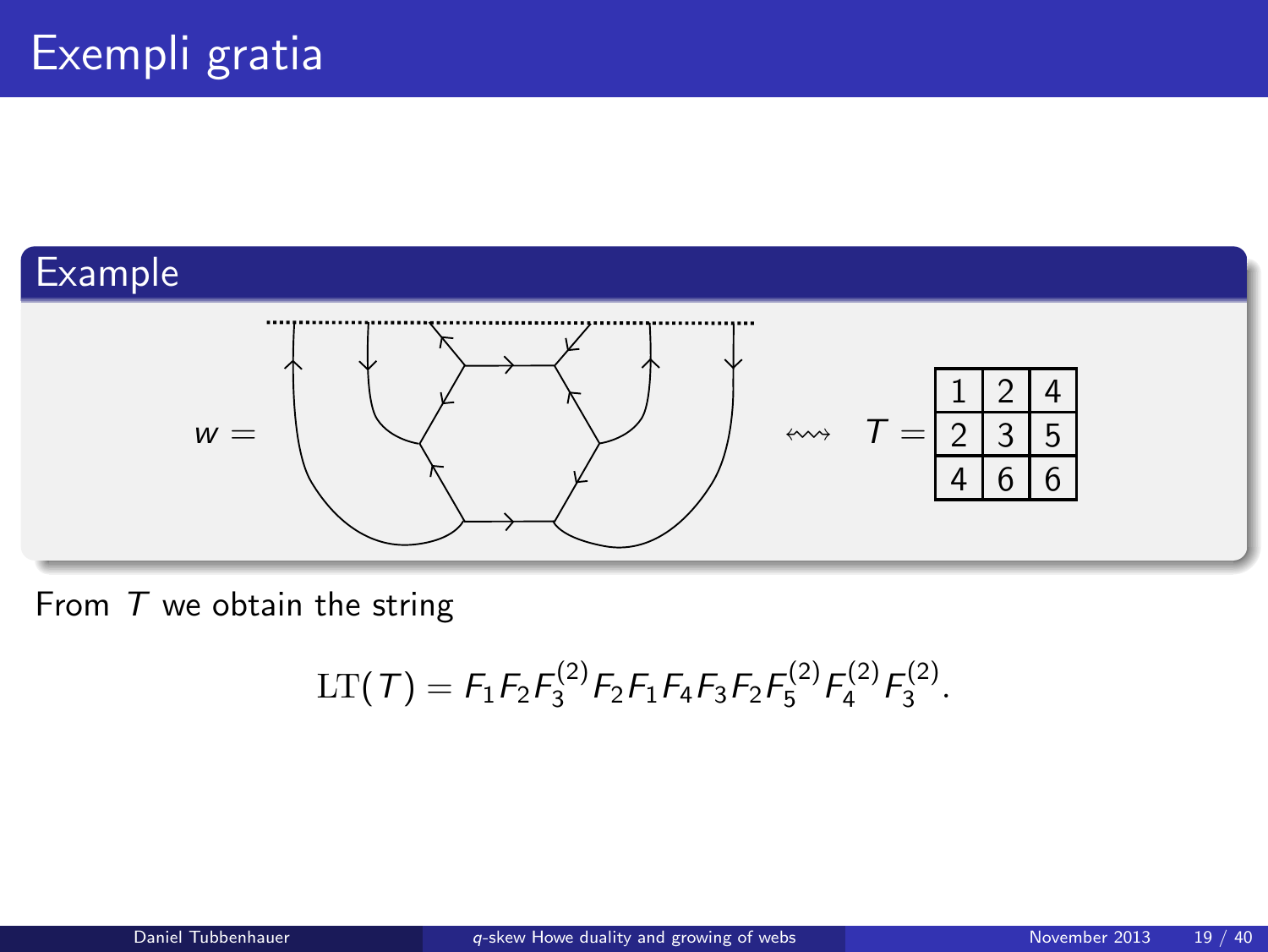### Example 1 2 4  $w = | \qquad \qquad \swarrow \qquad \qquad \swarrow \qquad \qquad \qquad \qquad \swarrow \qquad \qquad \swarrow \qquad \qquad \swarrow$ 2 3 5 4 6 6

From  $T$  we obtain the string

$$
LT(\mathcal{T}) = F_1 F_2 F_3^{(2)} F_2 F_1 F_4 F_3 F_2 F_5^{(2)} F_4^{(2)} F_3^{(2)}.
$$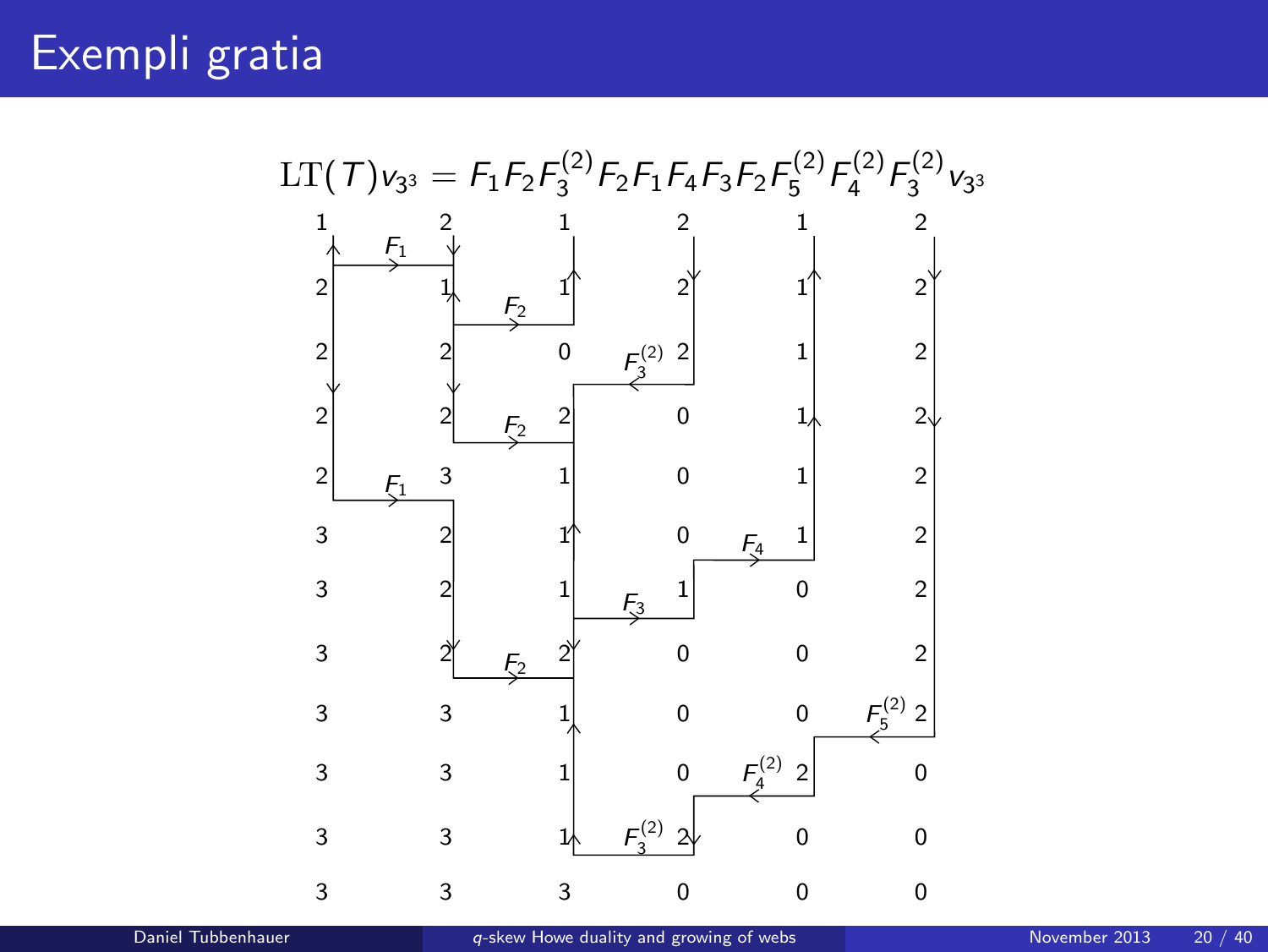Exempli gratia

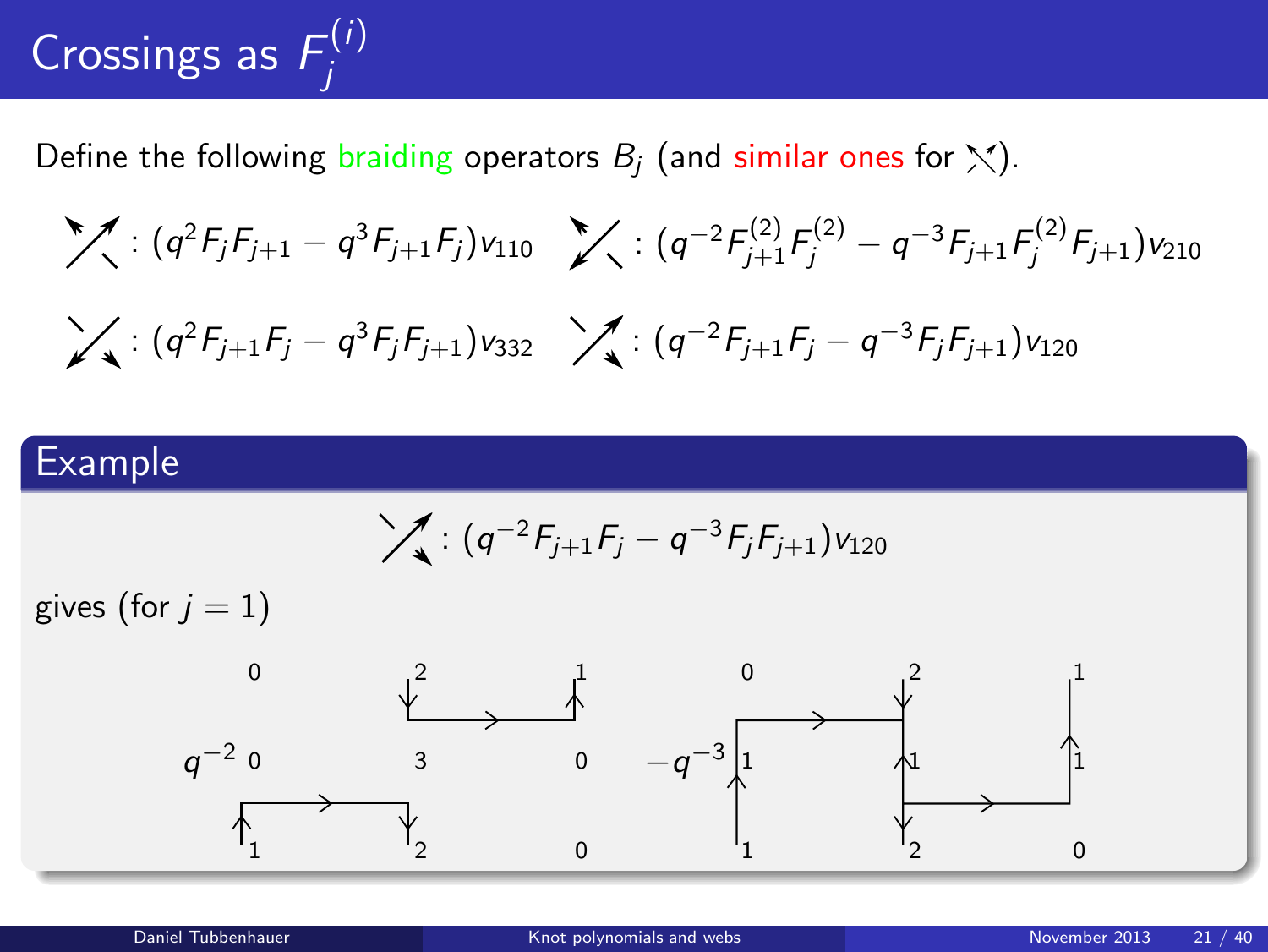#### Crossings as  $F_i^{(i)}$ j

Define the following braiding operators  $B_i$  (and similar ones for  $\chi$ ).

$$
\begin{aligned}\n\mathcal{M} &: (q^2 F_j F_{j+1} - q^3 F_{j+1} F_j) v_{110} \\
\mathcal{M} &: (q^{-2} F_{j+1}^{(2)} F_j - q^{-3} F_{j+1} F_j^{(2)} F_{j+1}) v_{210} \\
\mathcal{M} &: (q^2 F_{j+1} F_j - q^3 F_j F_{j+1}) v_{332}\n\mathcal{M} &: (q^{-2} F_{j+1} F_j - q^{-3} F_j F_{j+1}) v_{120}\n\end{aligned}
$$

### Example

<span id="page-20-0"></span>

gives (for  $j = 1$ )

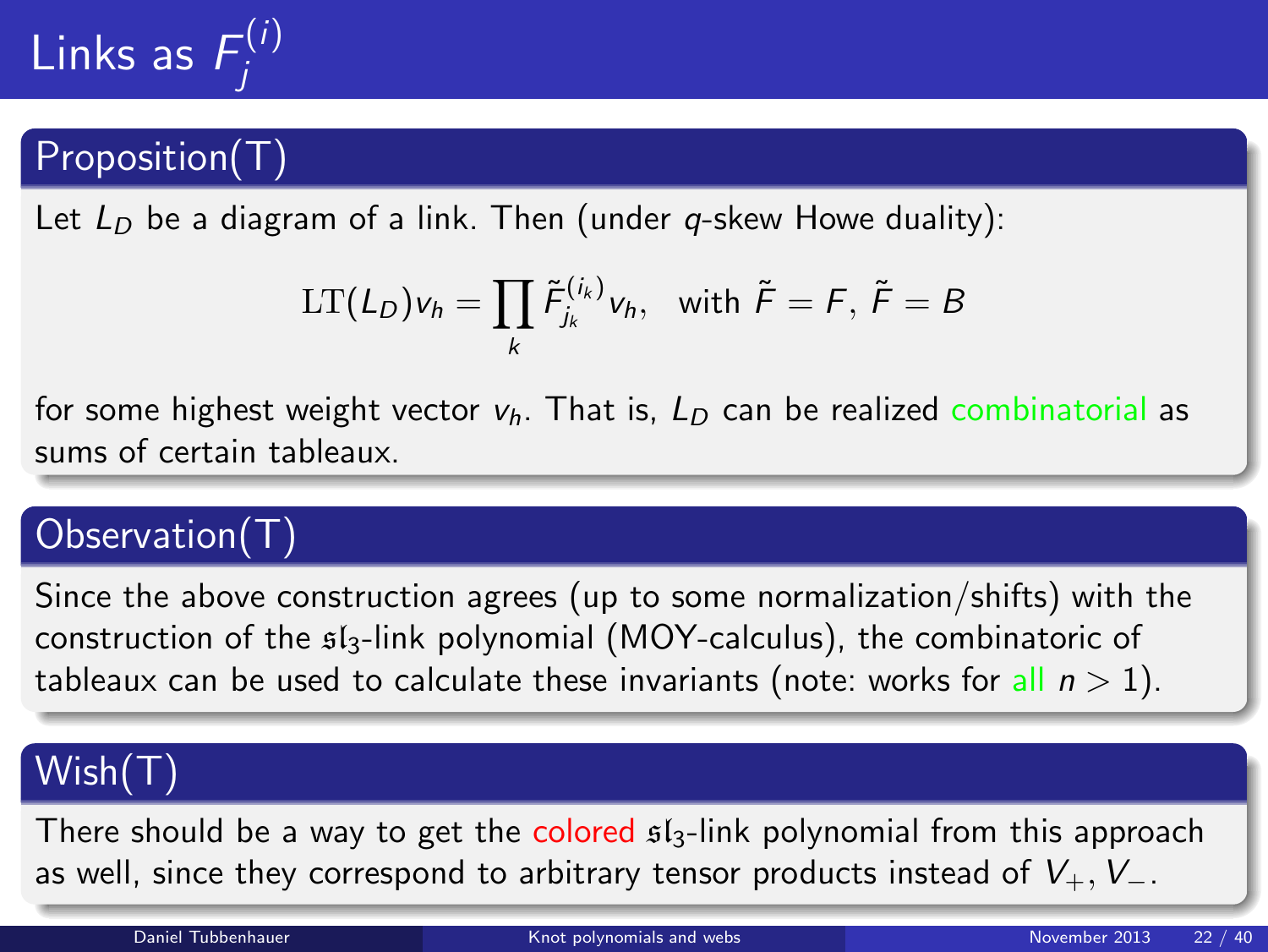

### Proposition(T)

Let  $L_D$  be a diagram of a link. Then (under q-skew Howe duality):

$$
LT(L_D)v_h = \prod_k \tilde{F}_{j_k}^{(i_k)} v_h, \text{ with } \tilde{F} = F, \tilde{F} = B
$$

for some highest weight vector  $v_h$ . That is,  $L_D$  can be realized combinatorial as sums of certain tableaux.

## Observation(T)

Since the above construction agrees (up to some normalization/shifts) with the construction of the  $sI_3$ -link polynomial (MOY-calculus), the combinatoric of tableaux can be used to calculate these invariants (note: works for all  $n > 1$ ).

# Wish(T)

There should be a way to get the colored  $sI_3$ -link polynomial from this approach as well, since they correspond to arbitrary tensor products instead of  $V_+$ ,  $V_-$ .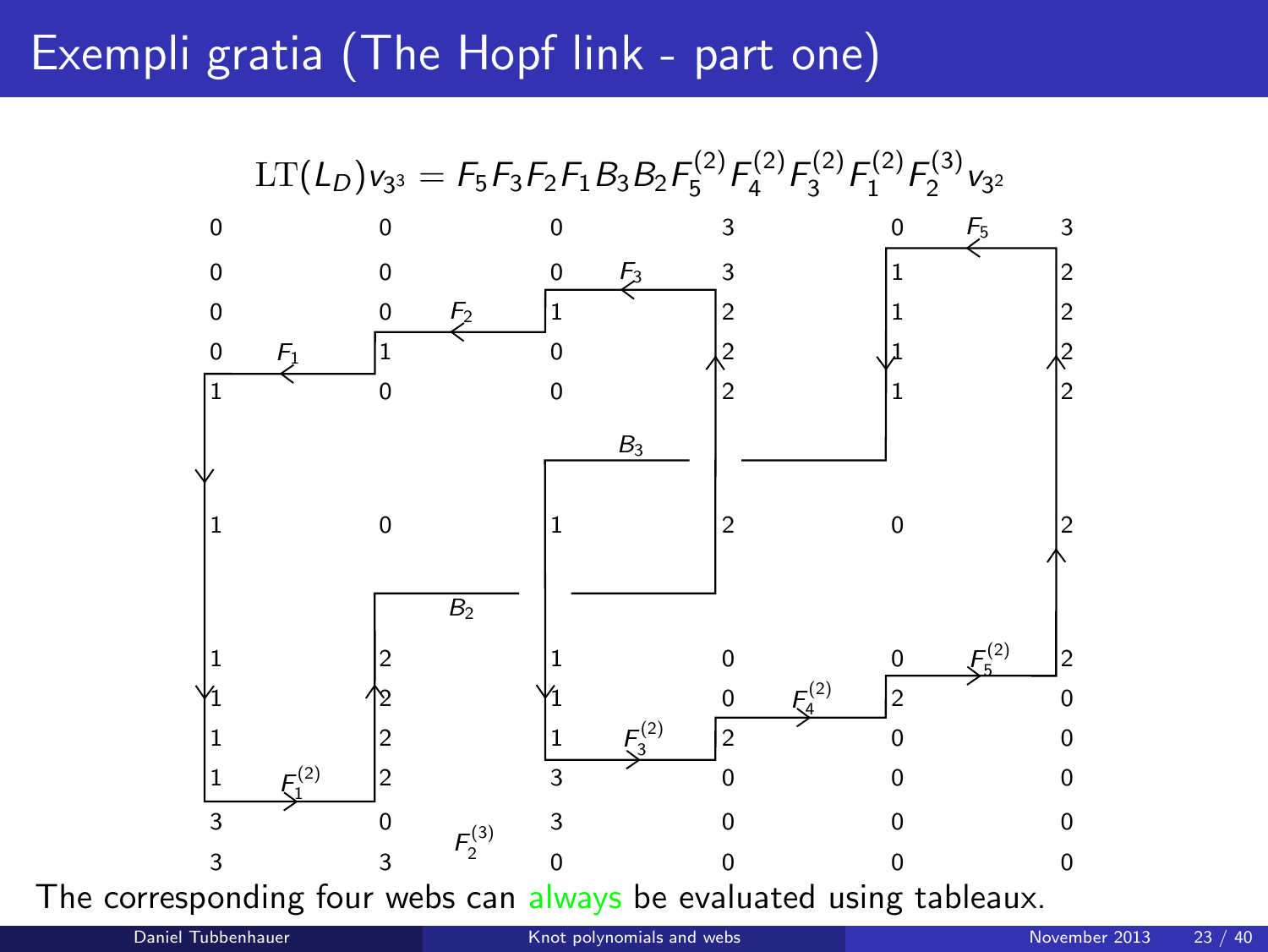# Exempli gratia (The Hopf link - part one)

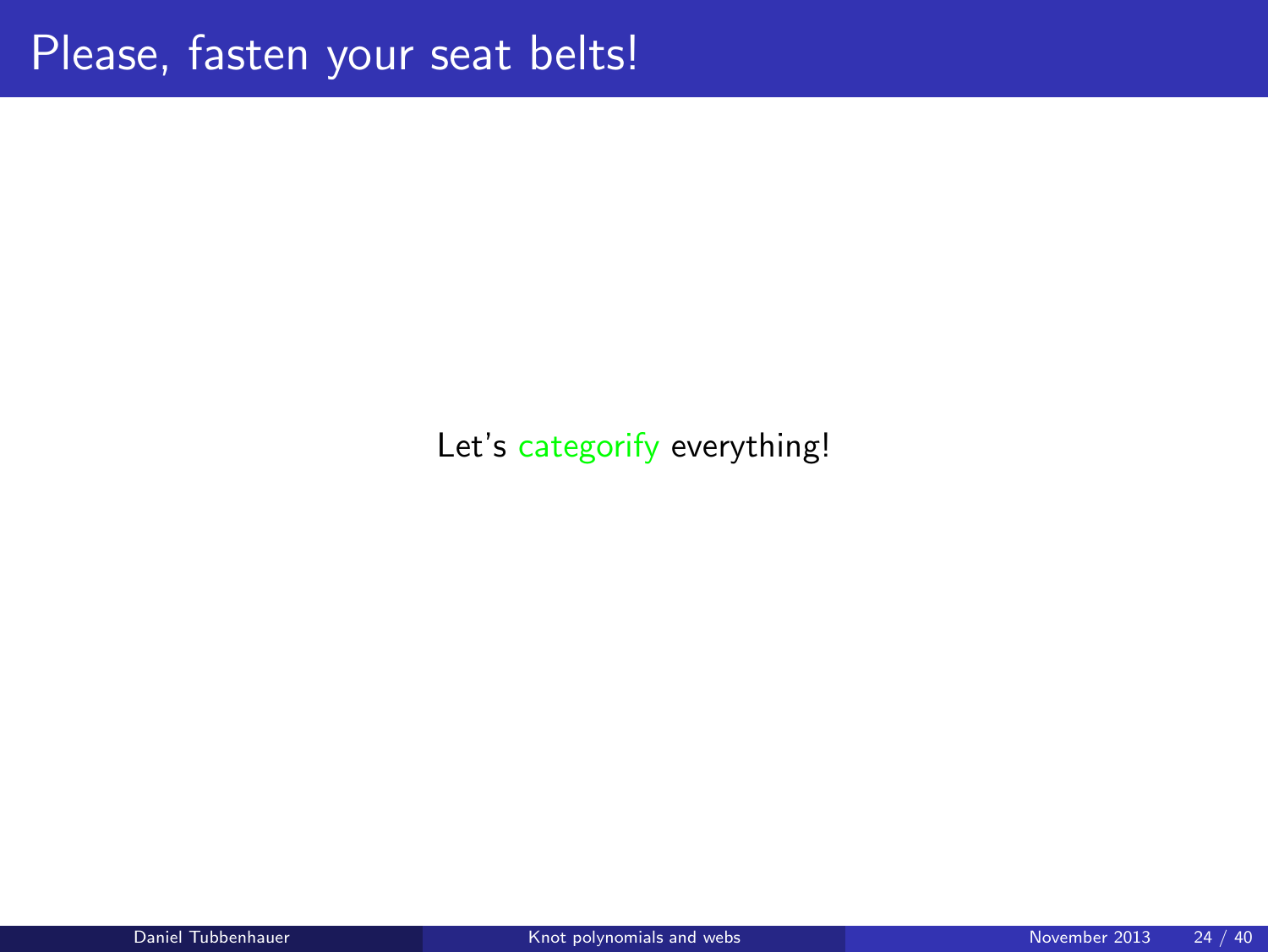### Let's categorify everything!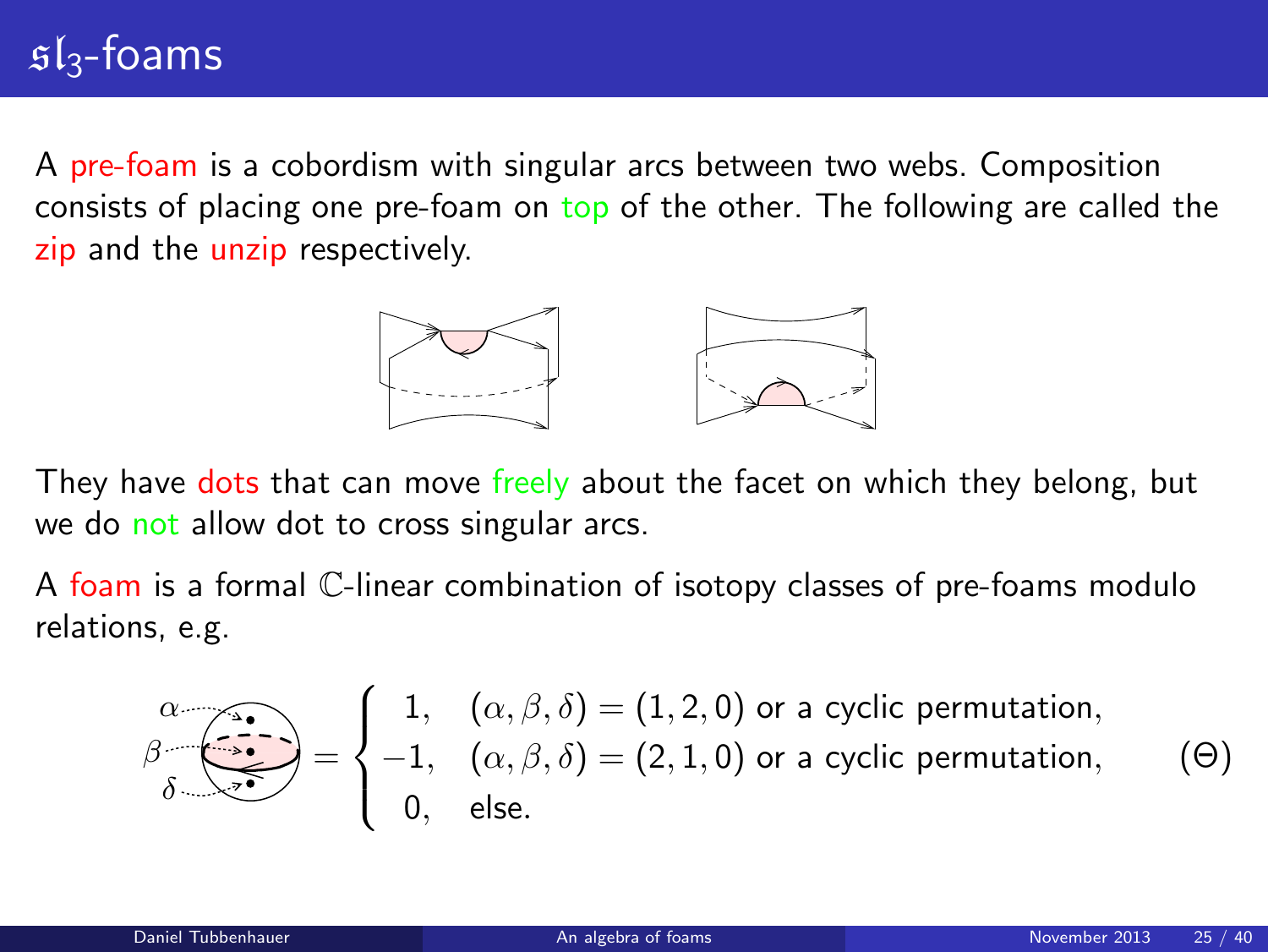# $5\sqrt{3}$ -foams

A pre-foam is a cobordism with singular arcs between two webs. Composition consists of placing one pre-foam on top of the other. The following are called the zip and the unzip respectively.

<span id="page-24-0"></span>

They have dots that can move freely about the facet on which they belong, but we do not allow dot to cross singular arcs.

A foam is a formal C-linear combination of isotopy classes of pre-foams modulo relations, e.g.

$$
\beta \overbrace{\delta}_{\delta} = \begin{cases} 1, & (\alpha, \beta, \delta) = (1, 2, 0) \text{ or a cyclic permutation,} \\ -1, & (\alpha, \beta, \delta) = (2, 1, 0) \text{ or a cyclic permutation,} \\ 0, & \text{else.} \end{cases} \tag{0}
$$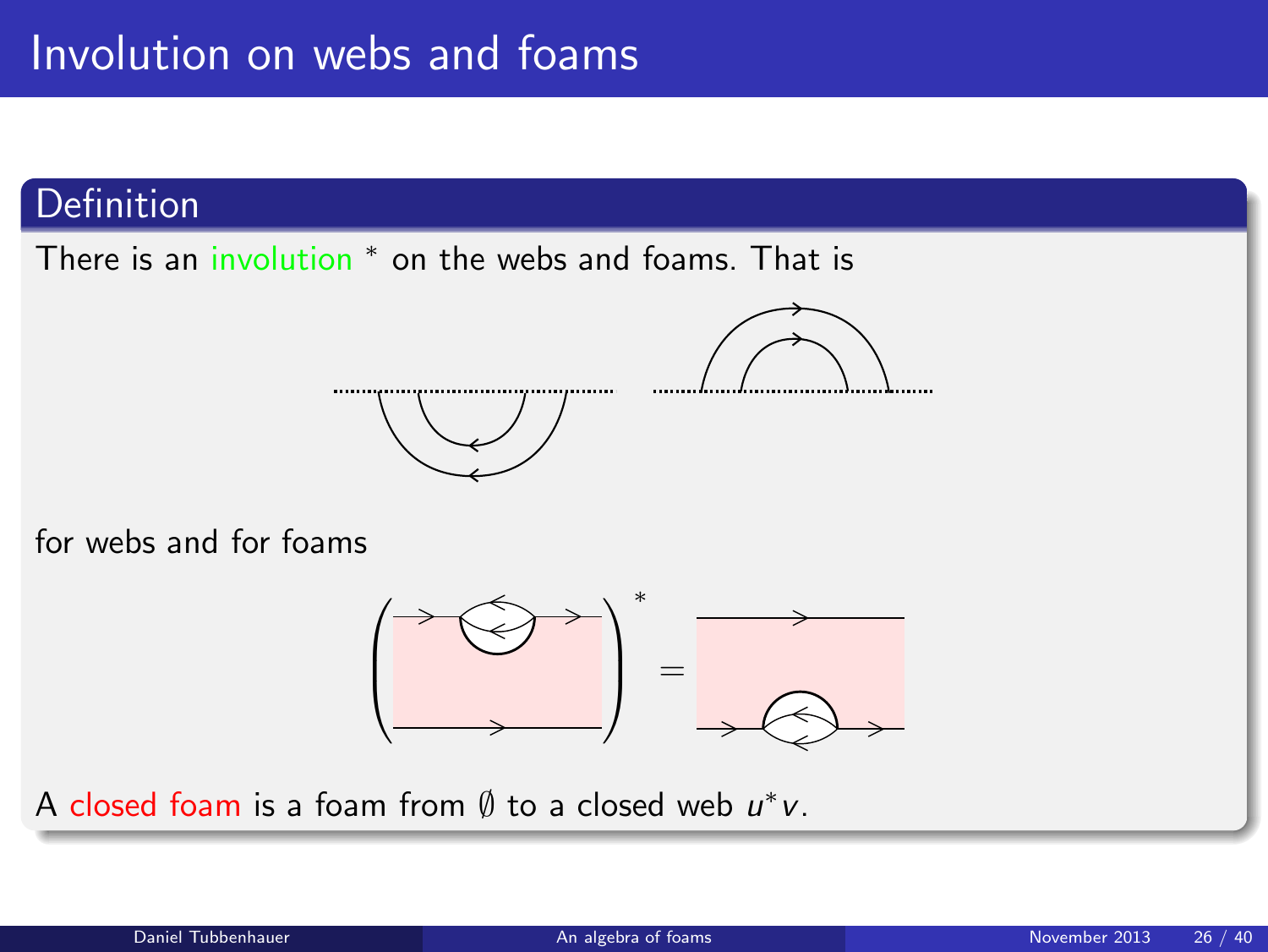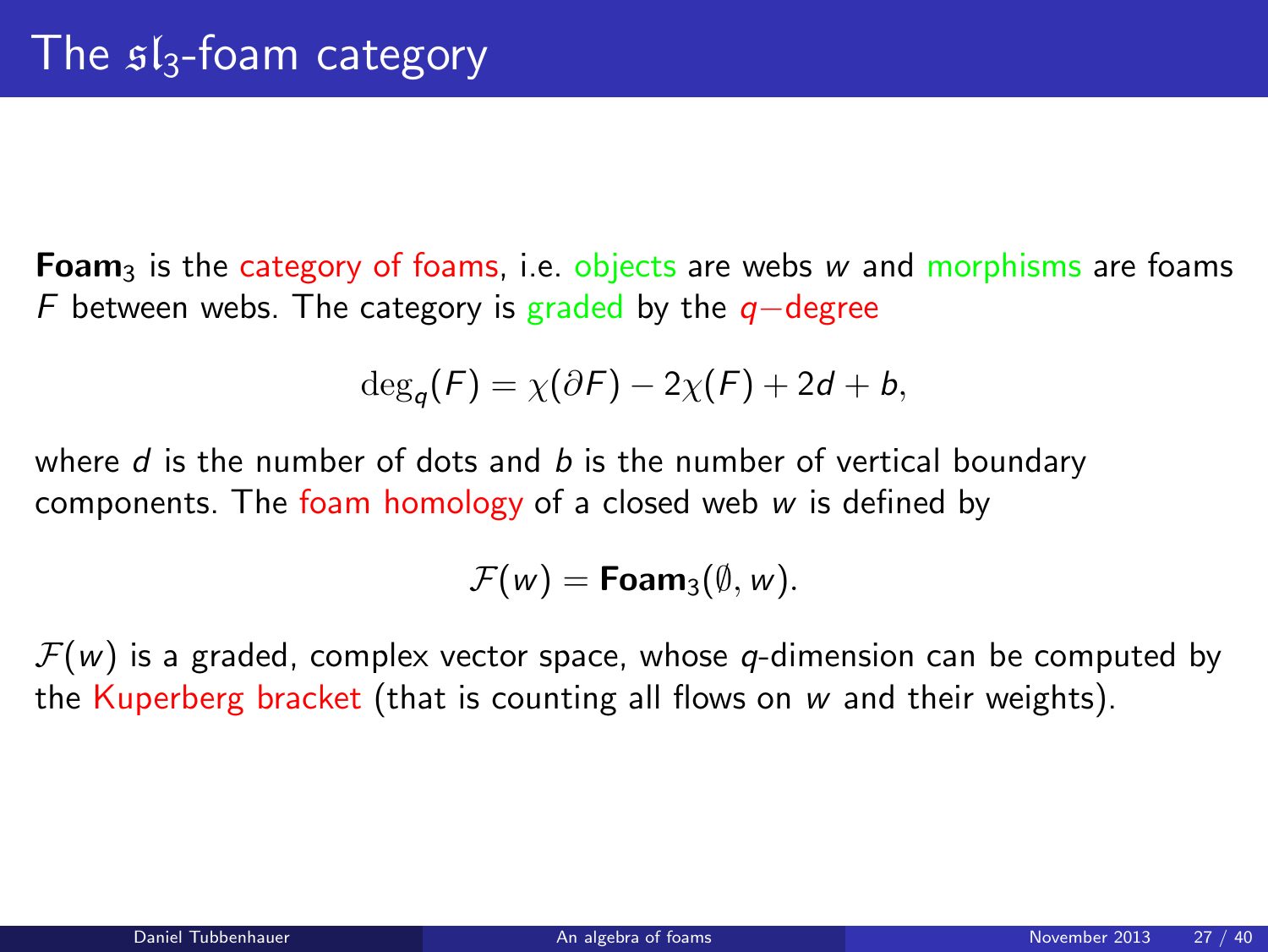**Foam**<sub>3</sub> is the category of foams, i.e. objects are webs w and morphisms are foams F between webs. The category is graded by the  $q$ −degree

$$
\deg_q(F) = \chi(\partial F) - 2\chi(F) + 2d + b,
$$

where  $d$  is the number of dots and  $b$  is the number of vertical boundary components. The foam homology of a closed web  $w$  is defined by

$$
\mathcal{F}(w) = \text{Foam}_3(\emptyset, w).
$$

 $\mathcal{F}(w)$  is a graded, complex vector space, whose q-dimension can be computed by the Kuperberg bracket (that is counting all flows on  $w$  and their weights).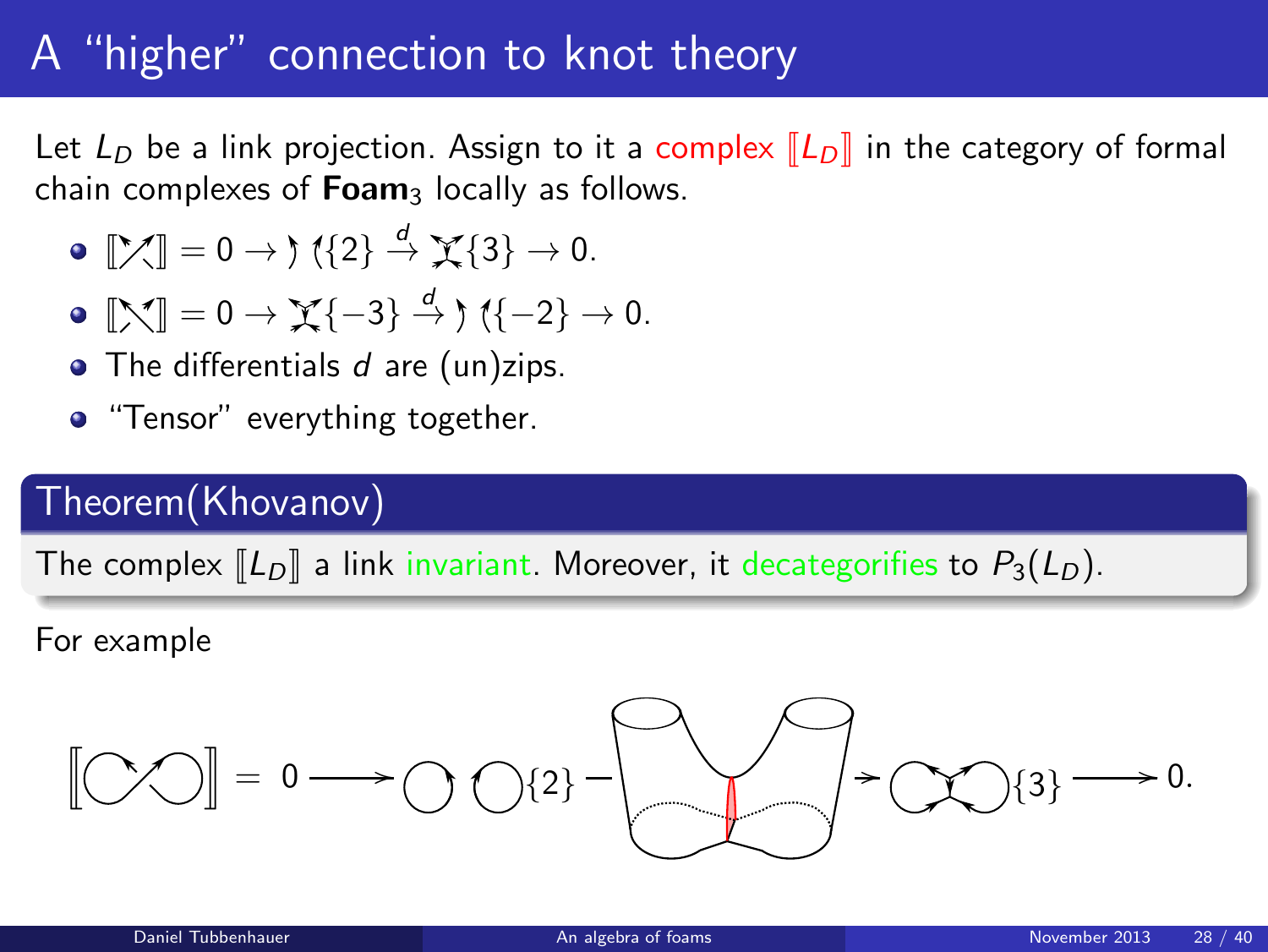# A "higher" connection to knot theory

Let  $L_D$  be a link projection. Assign to it a complex  $\llbracket L_D \rrbracket$  in the category of formal chain complexes of  $F{\text{oam}}_3$  locally as follows.

 $\llbracket \mathcal{Y} \rrbracket = 0 \rightarrow \gamma \left( \{2\} \stackrel{d}{\rightarrow} \mathbf{X} \{3\} \rightarrow 0.$ 

$$
\bullet \ [\![\mathbb{N}]\!] = 0 \to \mathfrak{X}\{-3\} \stackrel{d}{\to} (\{-2\} \to 0.
$$

- $\bullet$  The differentials  $d$  are (un)zips.
- "Tensor" everything together.

# Theorem(Khovanov)

The complex  $\llbracket L_{D} \rrbracket$  a link invariant. Moreover, it decategorifies to  $P_{3}(L_{D})$ .

For example

$$
\left[\left(\bigvee\bigcirc\right)\right]=0\longrightarrow\bigcirc\bigcirc\{2\}\longrightarrow\left(\bigvee\limits_{i=1}^{n}\right)\longrightarrow\bigcirc\bigotimes\{3\}\longrightarrow0.
$$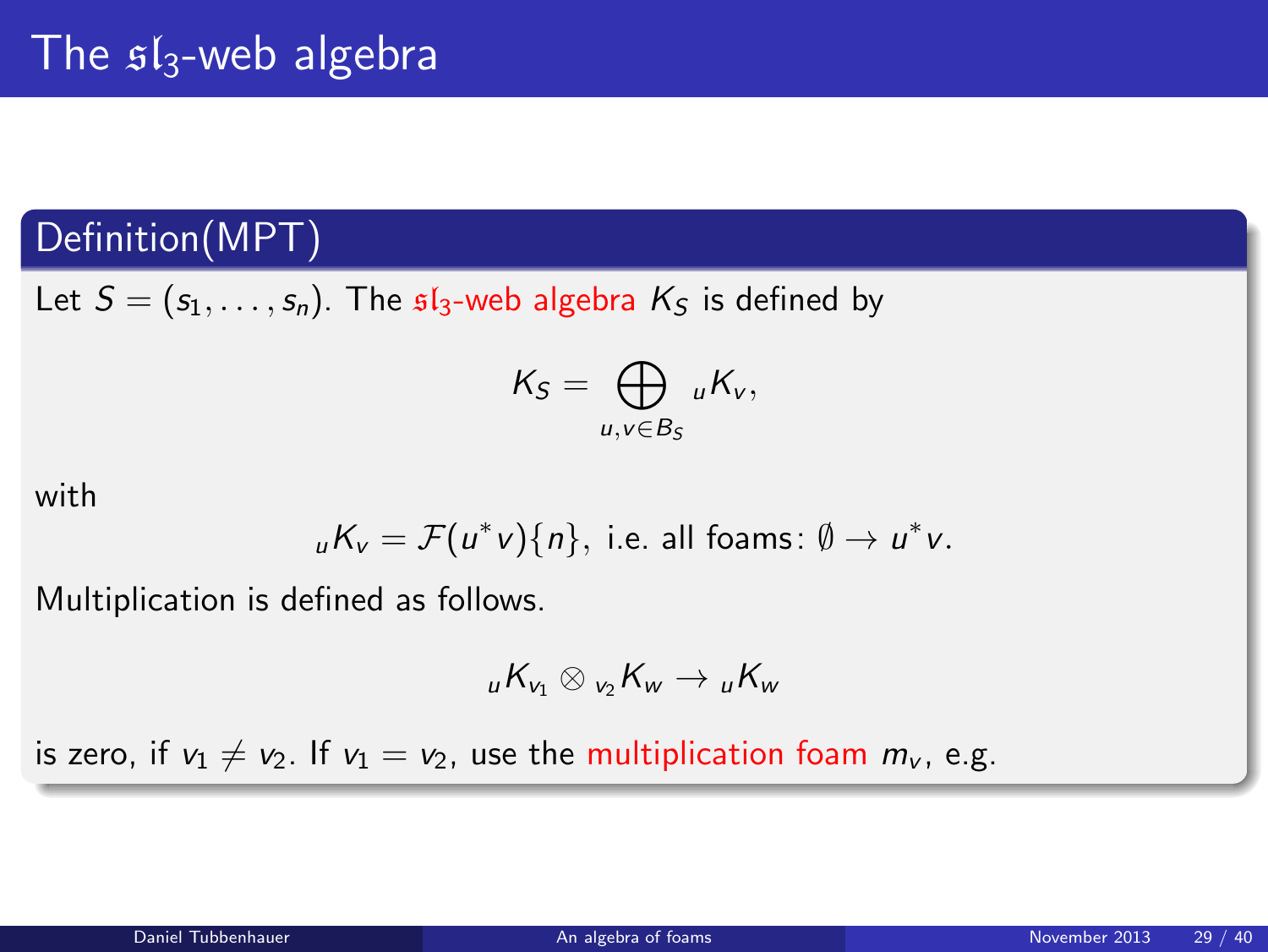## Definition(MPT)

Let  $S = (s_1, \ldots, s_n)$ . The  $sI_3$ -web algebra  $K_S$  is defined by

$$
K_S=\bigoplus_{u,v\in B_S} {}_uK_v,
$$

with

$$
{}_{u}K_{v}=\mathcal{F}(u^{*}v)\{n\},
$$
 i.e. all foams:  $\emptyset \to u^{*}v$ .

Multiplication is defined as follows.

$$
{}_{u}K_{v_1}\otimes{}_{v_2}K_{w}\to {}_{u}K_{w}
$$

is zero, if  $v_1 \neq v_2$ . If  $v_1 = v_2$ , use the multiplication foam  $m_v$ , e.g.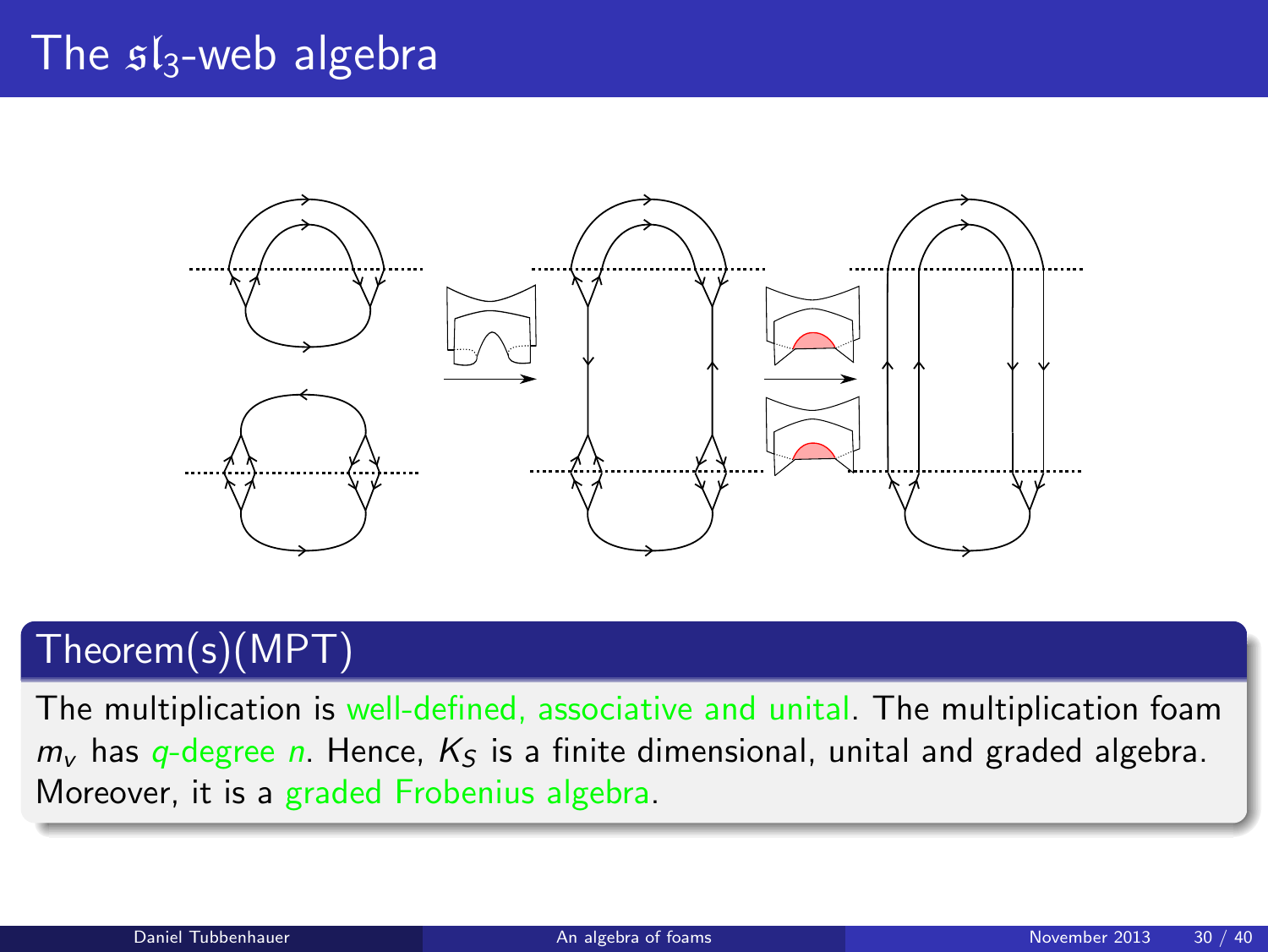# The  $sI_3$ -web algebra



# Theorem(s)(MPT)

The multiplication is well-defined, associative and unital. The multiplication foam  $m<sub>v</sub>$  has q-degree n. Hence,  $K<sub>S</sub>$  is a finite dimensional, unital and graded algebra. Moreover, it is a graded Frobenius algebra.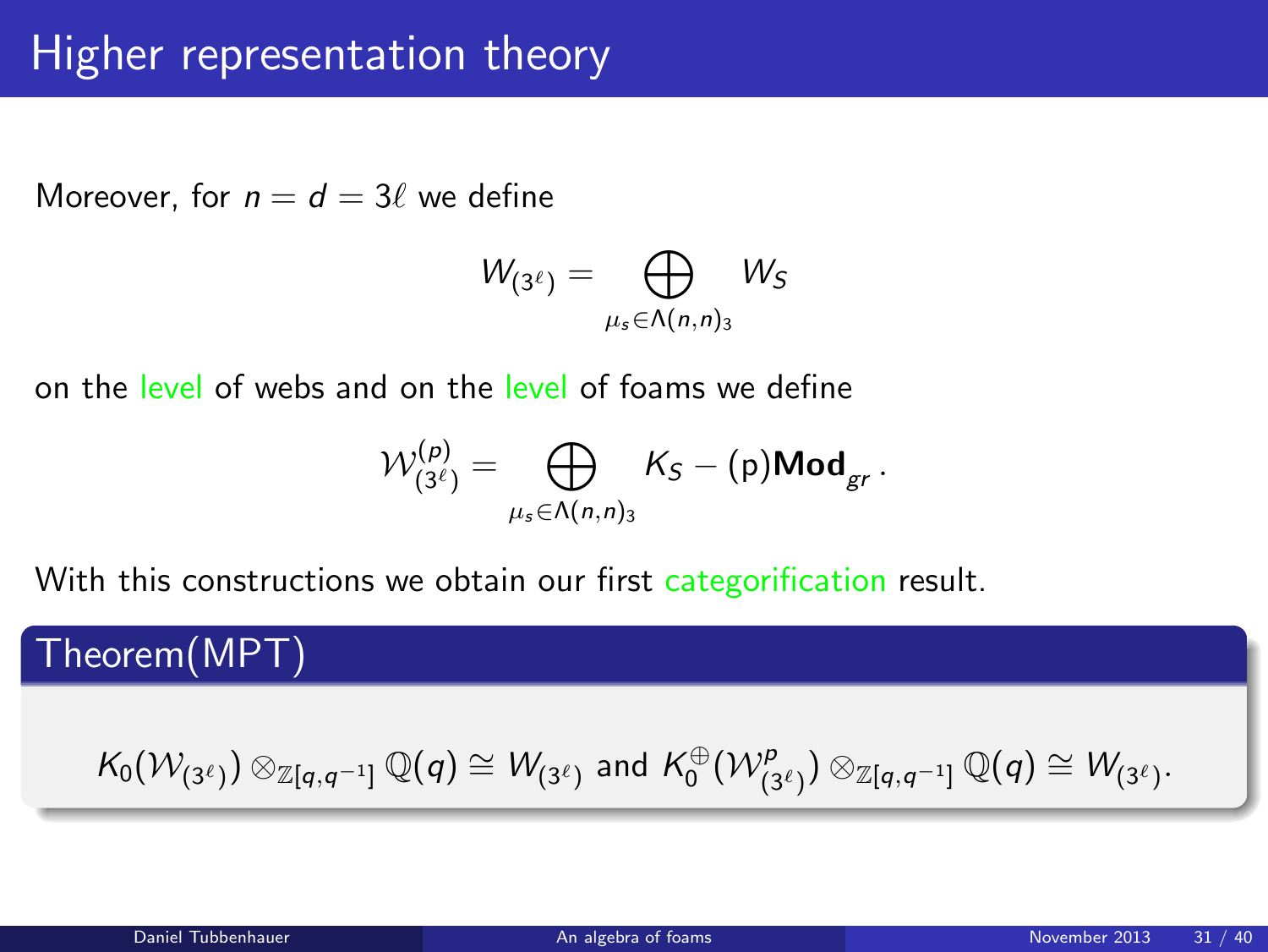# Higher representation theory

Moreover, for  $n = d = 3\ell$  we define

$$
W_{(3^\ell)}=\bigoplus_{\mu_s\in \Lambda(n,n)_3}W_S
$$

on the level of webs and on the level of foams we define

$$
\mathcal{W}^{(p)}_{(3^{\ell})} = \bigoplus_{\mu_s \in \Lambda(n,n)_3} K_S - (\mathrm{p}) \mathsf{Mod}_{gr}.
$$

With this constructions we obtain our first categorification result.

Theorem(MPT)

$$
\mathcal{K}_0(\mathcal{W}_{(3^\ell)}) \otimes_{\mathbb{Z} [q,q^{-1}]} \mathbb{Q}(q) \cong \mathcal{W}_{(3^\ell)} \text{ and } \mathcal{K}_0^\oplus(\mathcal{W}_{(3^\ell)}^\rho) \otimes_{\mathbb{Z} [q,q^{-1}]} \mathbb{Q}(q) \cong \mathcal{W}_{(3^\ell)}.
$$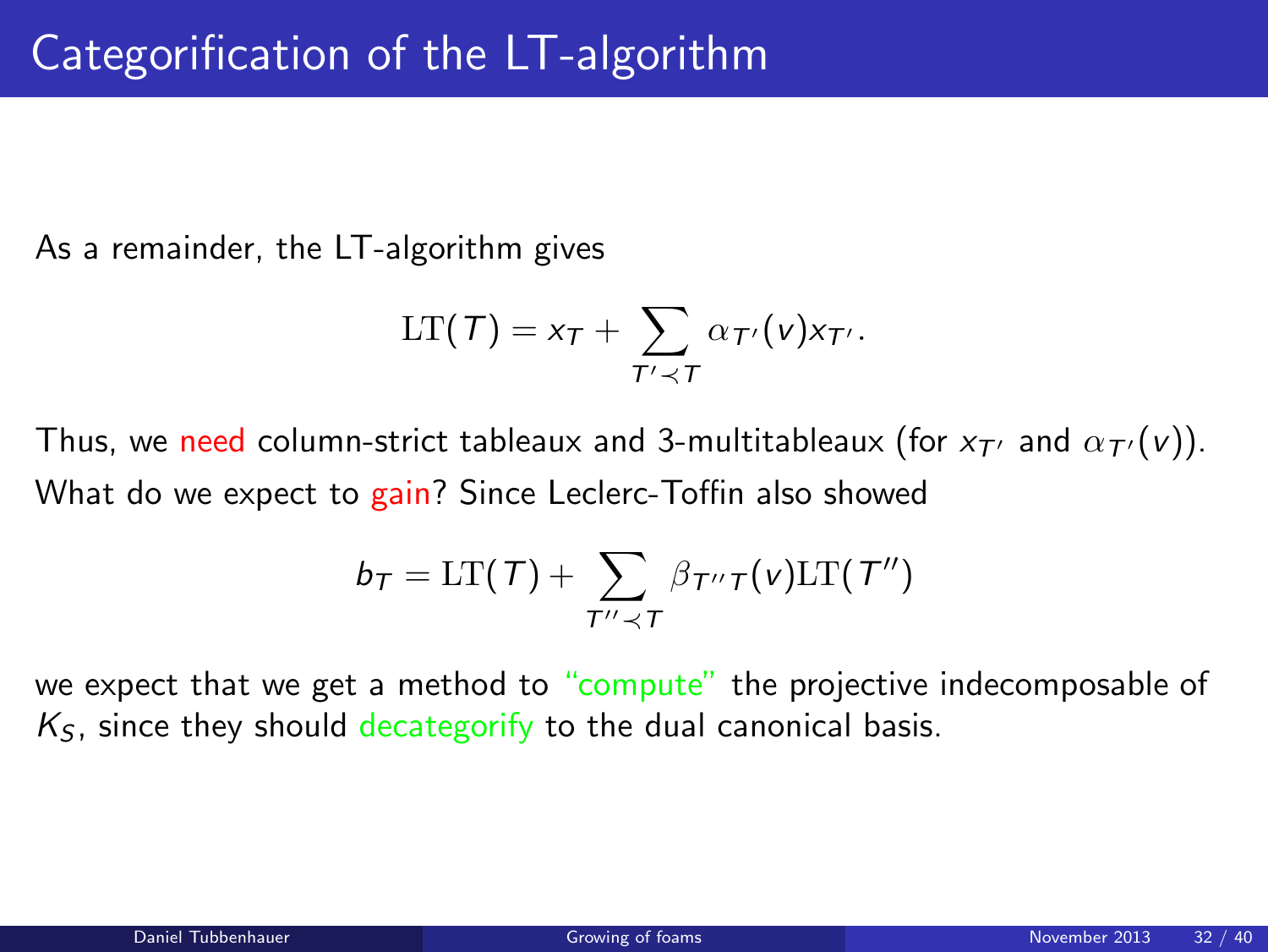As a remainder, the LT-algorithm gives

$$
LT(\mathcal{T}) = x_T + \sum_{T' \prec T} \alpha_{T'}(v) x_{T'}.
$$

Thus, we need column-strict tableaux and 3-multitableaux (for  $x_{\tau'}$  and  $\alpha_{\tau'}(v)$ ). What do we expect to gain? Since Leclerc-Toffin also showed

<span id="page-31-0"></span>
$$
b_T = \text{LT}(\mathcal{T}) + \sum_{T'' \prec T} \beta_{T''T}(v) \text{LT}(T'')
$$

we expect that we get a method to "compute" the projective indecomposable of  $K<sub>S</sub>$ , since they should decategorify to the dual canonical basis.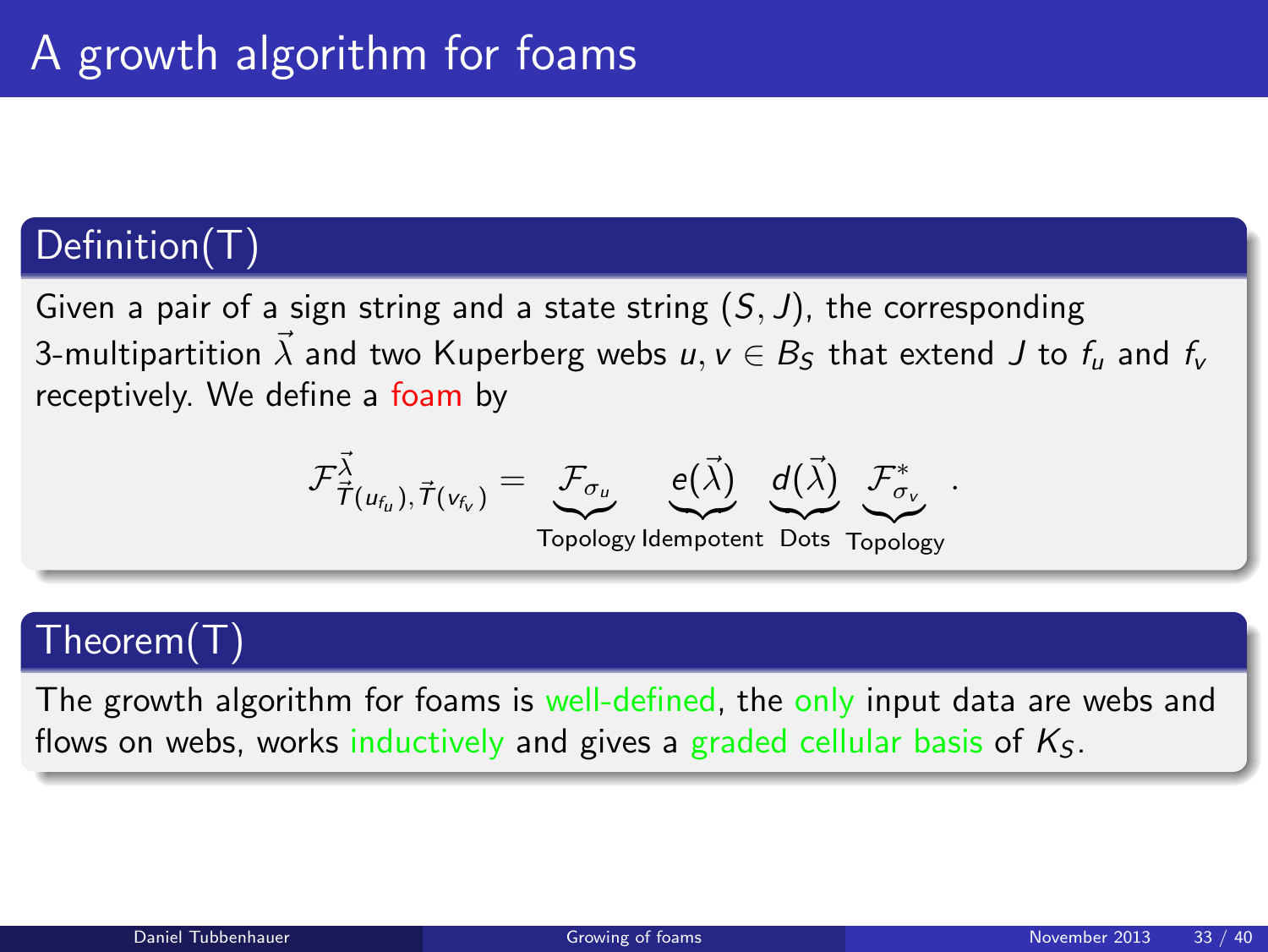### Definition(T)

Given a pair of a sign string and a state string  $(S, J)$ , the corresponding 3-multipartition  $\vec{\lambda}$  and two Kuperberg webs  $u, v \in B_S$  that extend J to  $f_u$  and  $f_v$ receptively. We define a foam by

$$
\mathcal{F}_{\vec{\mathcal{T}}(u_{f_u}), \vec{\mathcal{T}}(v_{f_v})}^{\vec{\lambda}} = \underbrace{\mathcal{F}_{\sigma_u}}_{\text{max}} \quad \underbrace{e(\vec{\lambda})}_{\text{max}} \quad \underbrace{d(\vec{\lambda})}_{\text{max}} \quad \mathcal{F}_{\sigma_v}^*
$$

Topology Idempotent Dots Topology

.

### Theorem(T)

The growth algorithm for foams is well-defined, the only input data are webs and flows on webs, works inductively and gives a graded cellular basis of  $K<sub>S</sub>$ .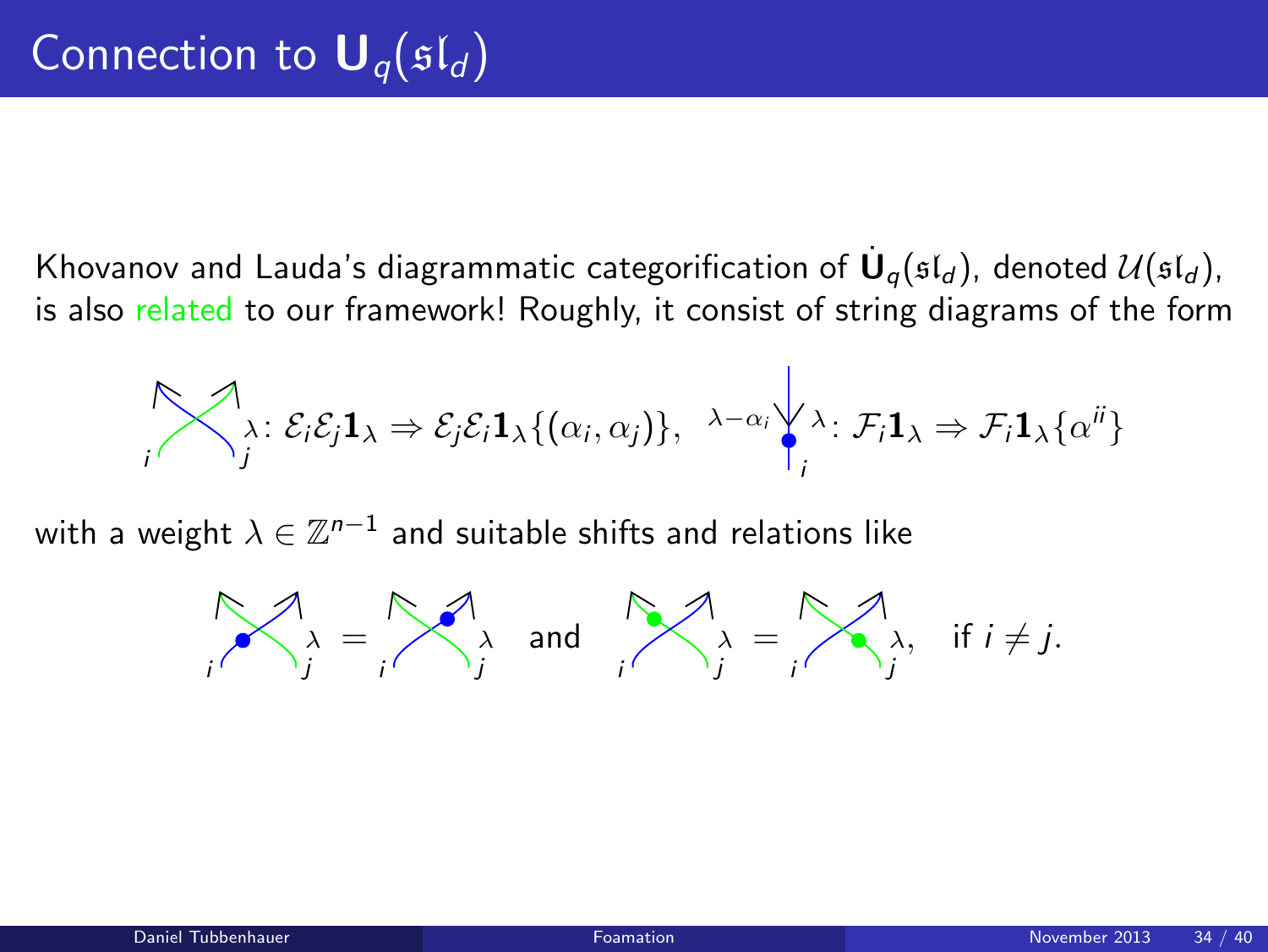Khovanov and Lauda's diagrammatic categorification of  $\dot{\mathsf{U}}_q(\mathfrak{sl}_d)$ , denoted  $\mathcal{U}(\mathfrak{sl}_d)$ , is also related to our framework! Roughly, it consist of string diagrams of the form

$$
\bigotimes_i \lambda_i : \mathcal{E}_i \mathcal{E}_j \mathbf{1}_{\lambda} \Rightarrow \mathcal{E}_j \mathcal{E}_i \mathbf{1}_{\lambda} \{(\alpha_i, \alpha_j)\}, \lambda - \alpha_i \bigvee_i \lambda_i : \mathcal{F}_i \mathbf{1}_{\lambda} \Rightarrow \mathcal{F}_i \mathbf{1}_{\lambda} \{\alpha^{ij}\}
$$

with a weight  $\lambda\in\mathbb{Z}^{n-1}$  and suitable shifts and relations like

<span id="page-33-0"></span>
$$
\bigwedge_i \lambda = \bigwedge_j \lambda \text{ and } \bigwedge_j \lambda = \bigwedge_j \lambda, \text{ if } i \neq j.
$$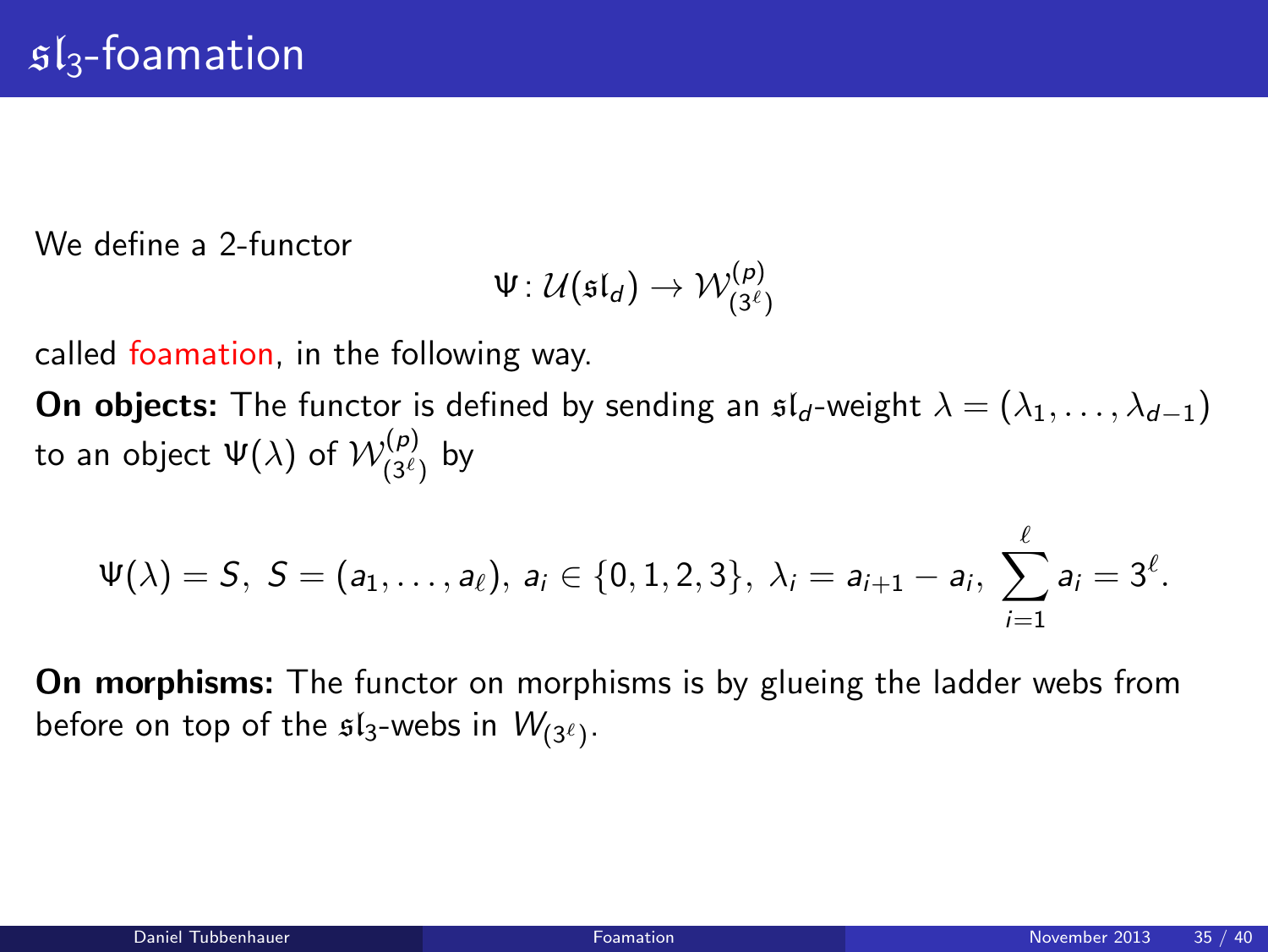We define a 2-functor

$$
\Psi\colon\mathcal{U}(\mathfrak{sl}_d)\to\mathcal{W}^{(p)}_{(3^\ell)}
$$

called foamation, in the following way.

**On objects:** The functor is defined by sending an  $\mathfrak{sl}_d$ -weight  $\lambda = (\lambda_1, \ldots, \lambda_{d-1})$ to an object  $\Psi(\lambda)$  of  $\mathcal{W}_{(3^\ell)}^{(p)}$  by

$$
\Psi(\lambda)=S, S=(a_1,\ldots,a_\ell), a_i\in\{0,1,2,3\}, \lambda_i=a_{i+1}-a_i, \sum_{i=1}^\ell a_i=3^\ell.
$$

On morphisms: The functor on morphisms is by glueing the ladder webs from before on top of the  $\mathfrak{sl}_3$ -webs in  $W_{(3^{\ell})}$ .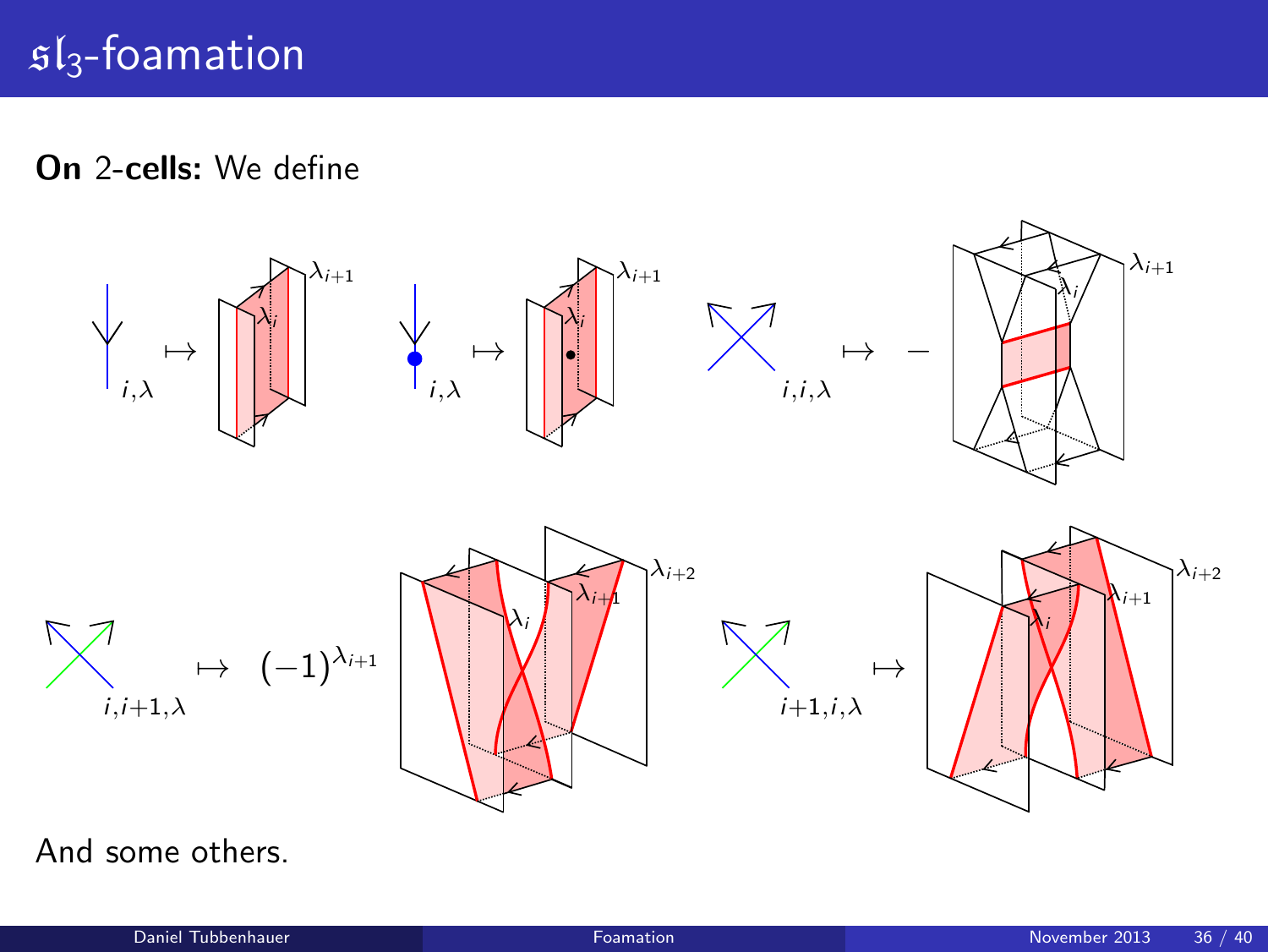On 2-cells: We define

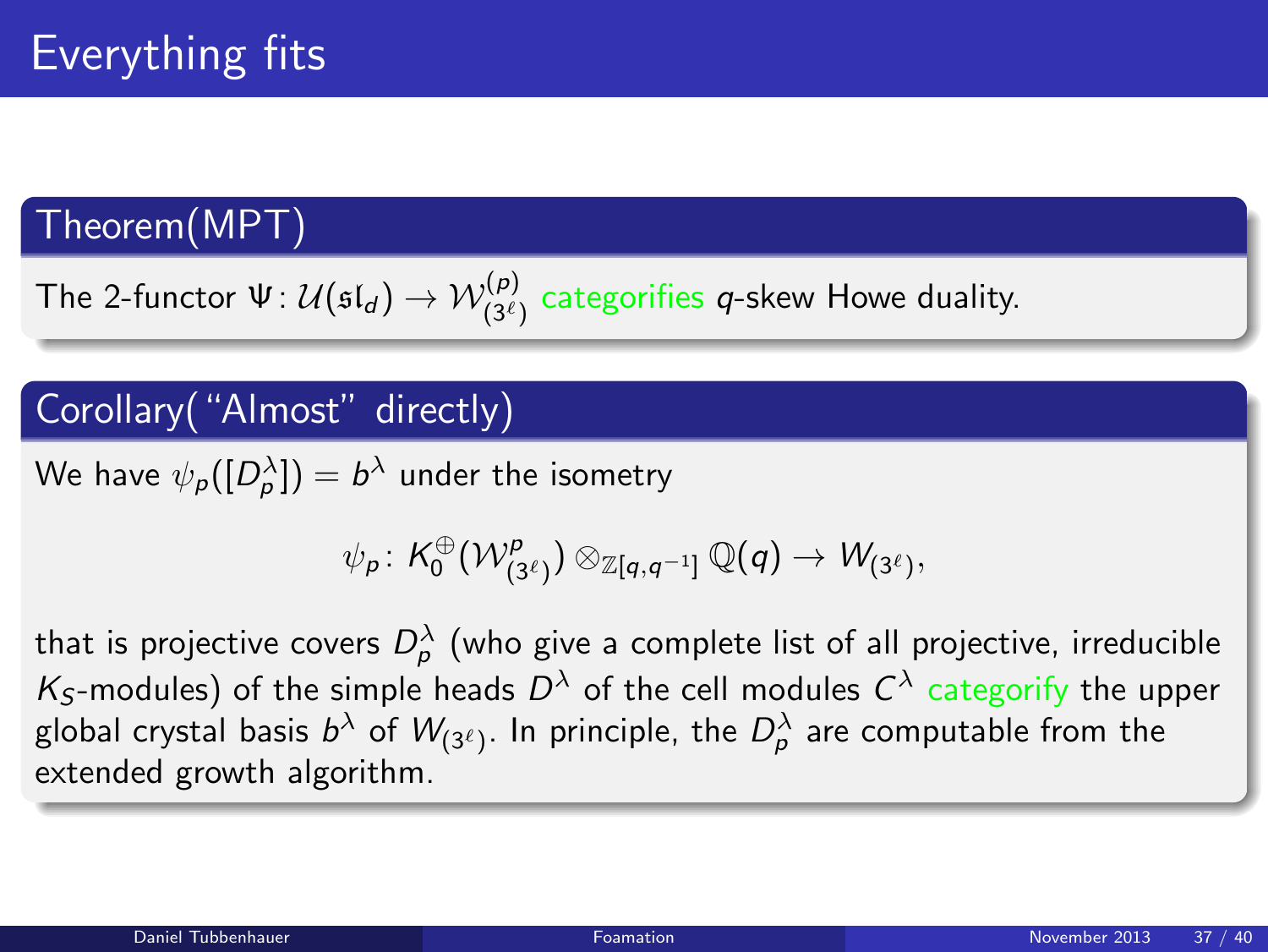### Theorem(MPT)

The 2-functor  $\Psi\colon \mathcal{U}(\mathfrak{sl}_d)\to \mathcal{W}_{(3^\ell)}^{(\rho)}$  categorifies  $q$ -skew Howe duality.

# Corollary("Almost" directly)

We have  $\psi_\rho([D^\lambda_\rho])=b^\lambda$  under the isometry

$$
\psi_{\rho} \colon \mathcal{K}^{\oplus}_0(\mathcal{W}^{\rho}_{(3^{\ell})}) \otimes_{\mathbb{Z}[q,q^{-1}]} \mathbb{Q}(q) \rightarrow \mathcal{W}_{(3^{\ell})},
$$

that is projective covers  $D^\lambda_\rho$  (who give a complete list of all projective, irreducible  $\mathcal{K}_\mathcal{S}$ -modules) of the simple heads  $D^\lambda$  of the cell modules  $\mathcal{C}^\lambda$  categorify the upper global crystal basis  $b^\lambda$  of  $\mathcal{W}_{(3^\ell)}.$  In principle, the  $D_\rho^\lambda$  are computable from the extended growth algorithm.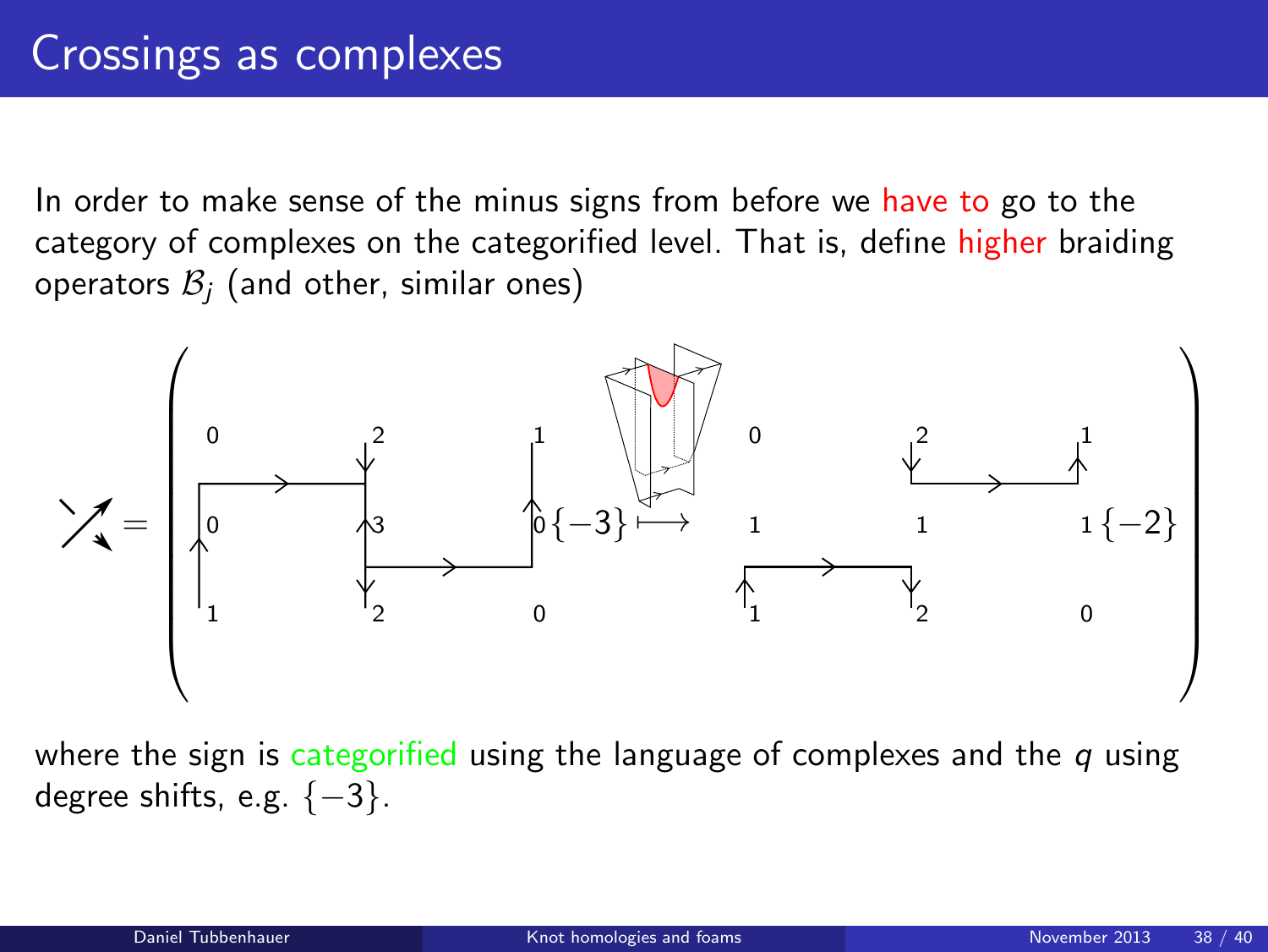In order to make sense of the minus signs from before we have to go to the category of complexes on the categorified level. That is, define higher braiding operators  $B_i$  (and other, similar ones)



<span id="page-37-0"></span>where the sign is categorified using the language of complexes and the  $q$  using degree shifts, e.g.  $\{-3\}$ .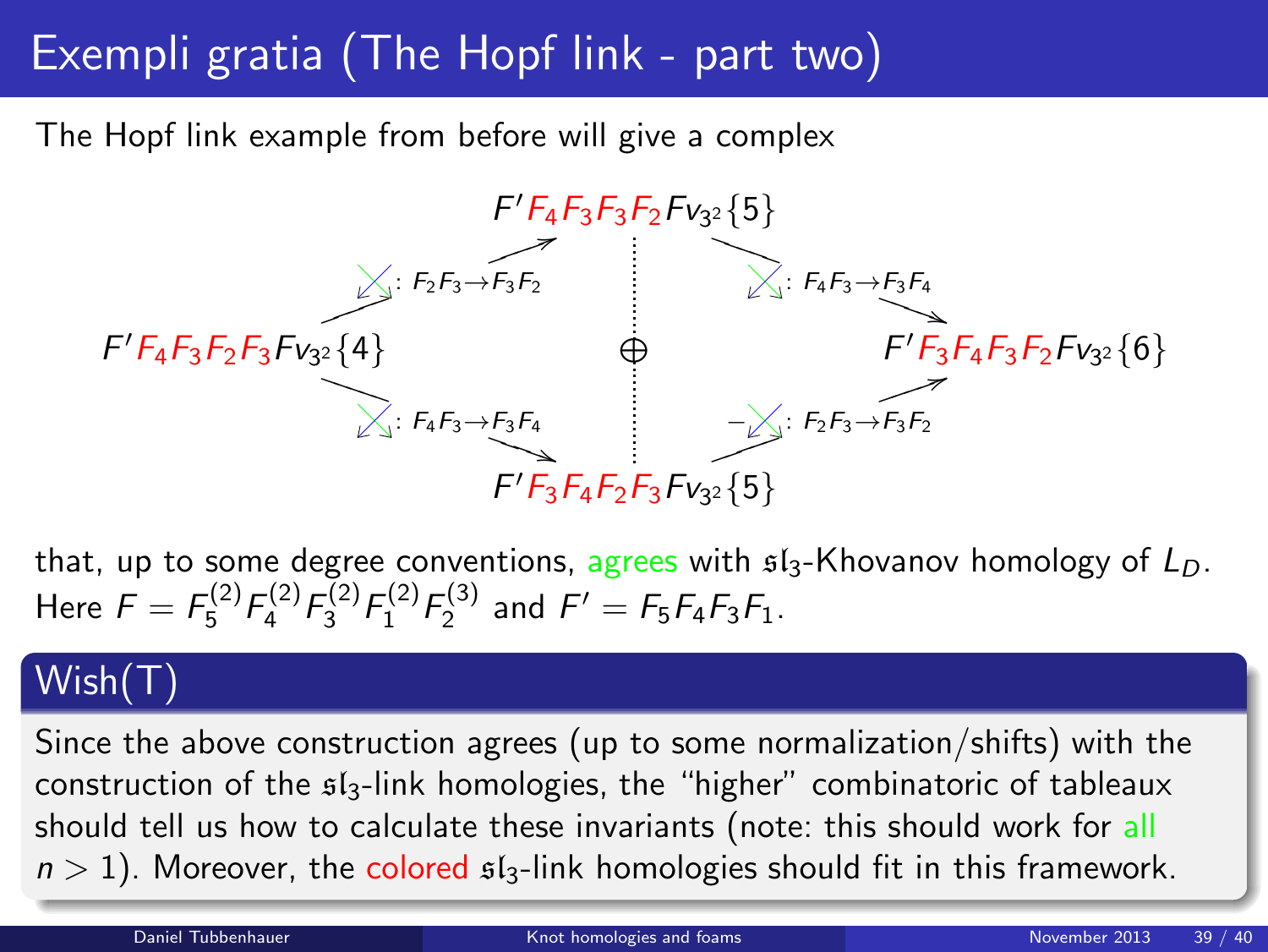# Exempli gratia (The Hopf link - part two)

The Hopf link example from before will give a complex



that, up to some degree conventions, agrees with  $sI_3$ -Khovanov homology of  $L<sub>D</sub>$ . Here  $F = F_5^{(2)} F_4^{(2)} F_3^{(2)} F_1^{(2)} F_2^{(3)}$  and  $F' = F_5 F_4 F_3 F_1$ .

# Wish(T)

Since the above construction agrees (up to some normalization/shifts) with the construction of the  $sI_3$ -link homologies, the "higher" combinatoric of tableaux should tell us how to calculate these invariants (note: this should work for all  $n > 1$ ). Moreover, the colored  $sI_3$ -link homologies should fit in this framework.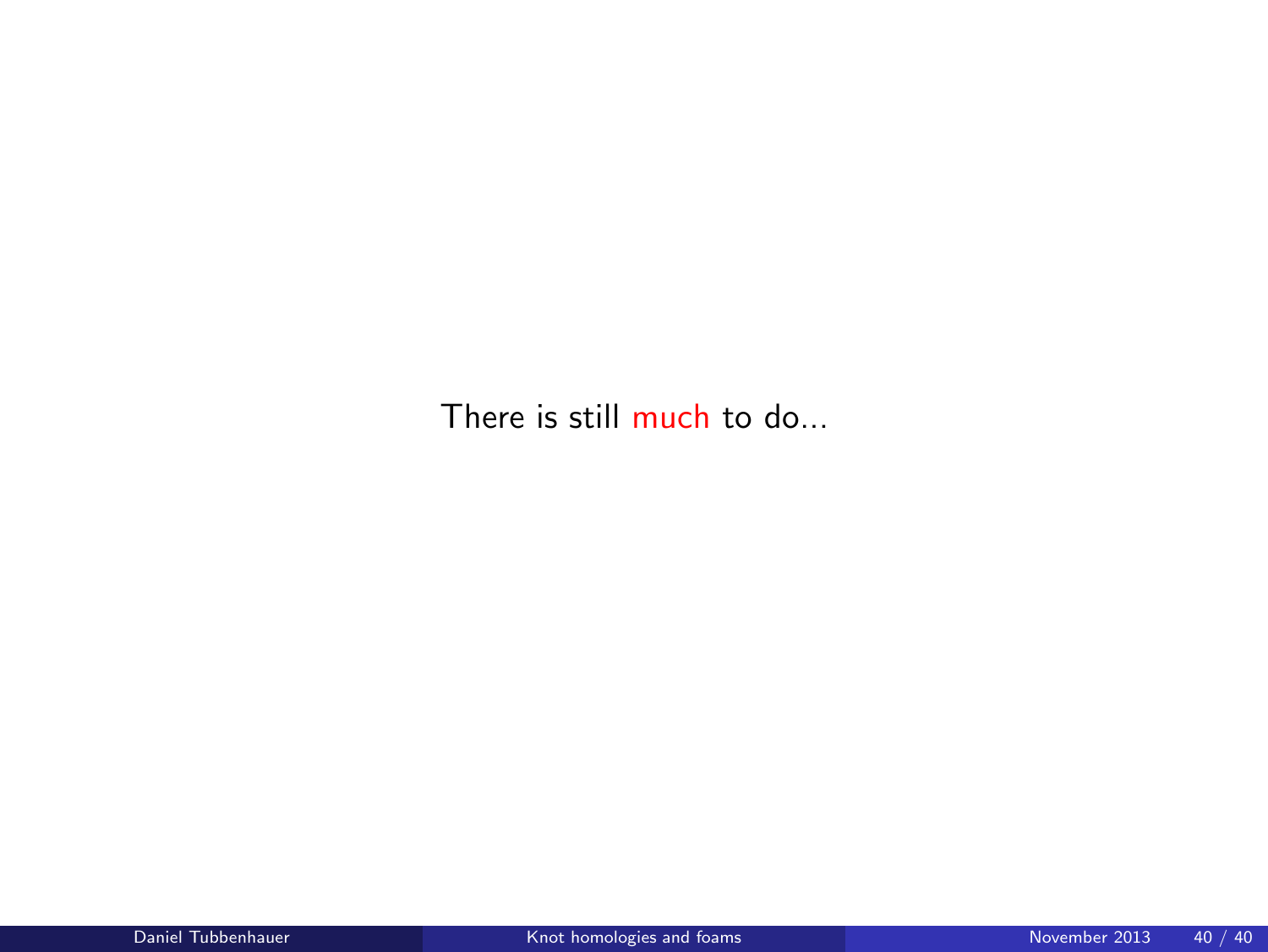There is still much to do...